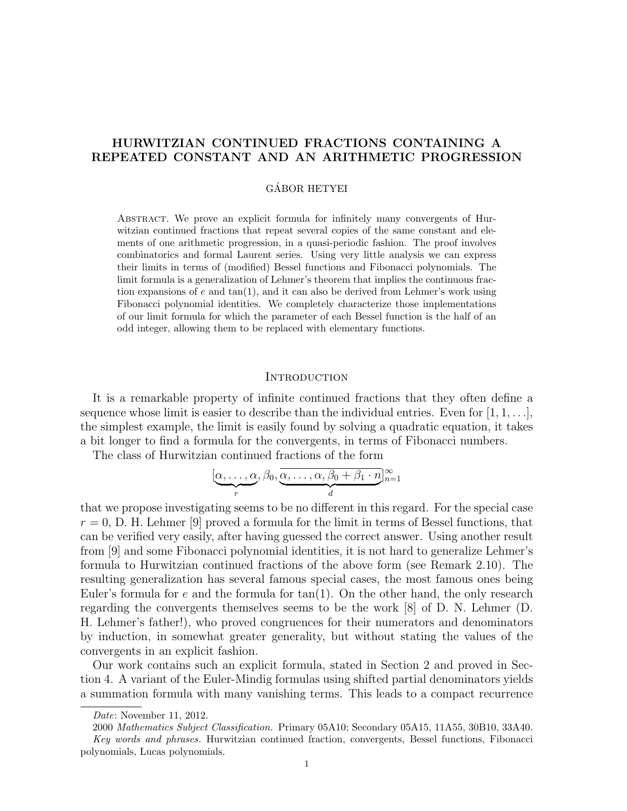# HURWITZIAN CONTINUED FRACTIONS CONTAINING A REPEATED CONSTANT AND AN ARITHMETIC PROGRESSION

## GÁBOR HETYEI

Abstract. We prove an explicit formula for infinitely many convergents of Hurwitzian continued fractions that repeat several copies of the same constant and elements of one arithmetic progression, in a quasi-periodic fashion. The proof involves combinatorics and formal Laurent series. Using very little analysis we can express their limits in terms of (modified) Bessel functions and Fibonacci polynomials. The limit formula is a generalization of Lehmer's theorem that implies the continuous fraction expansions of  $e$  and  $tan(1)$ , and it can also be derived from Lehmer's work using Fibonacci polynomial identities. We completely characterize those implementations of our limit formula for which the parameter of each Bessel function is the half of an odd integer, allowing them to be replaced with elementary functions.

## **INTRODUCTION**

It is a remarkable property of infinite continued fractions that they often define a sequence whose limit is easier to describe than the individual entries. Even for  $[1, 1, \ldots]$ , the simplest example, the limit is easily found by solving a quadratic equation, it takes a bit longer to find a formula for the convergents, in terms of Fibonacci numbers.

The class of Hurwitzian continued fractions of the form

$$
[\underbrace{\alpha, \ldots, \alpha}_{r}, \beta_0, \underbrace{\overline{\alpha, \ldots, \alpha}_{r}, \beta_0 + \beta_1 \cdot n}_{d}]_{n=1}^{\infty}
$$

that we propose investigating seems to be no different in this regard. For the special case  $r = 0$ , D. H. Lehmer [9] proved a formula for the limit in terms of Bessel functions, that can be verified very easily, after having guessed the correct answer. Using another result from [9] and some Fibonacci polynomial identities, it is not hard to generalize Lehmer's formula to Hurwitzian continued fractions of the above form (see Remark 2.10). The resulting generalization has several famous special cases, the most famous ones being Euler's formula for  $e$  and the formula for  $tan(1)$ . On the other hand, the only research regarding the convergents themselves seems to be the work [8] of D. N. Lehmer (D. H. Lehmer's father!), who proved congruences for their numerators and denominators by induction, in somewhat greater generality, but without stating the values of the convergents in an explicit fashion.

Our work contains such an explicit formula, stated in Section 2 and proved in Section 4. A variant of the Euler-Mindig formulas using shifted partial denominators yields a summation formula with many vanishing terms. This leads to a compact recurrence

Date: November 11, 2012.

<sup>2000</sup> Mathematics Subject Classification. Primary 05A10; Secondary 05A15, 11A55, 30B10, 33A40. Key words and phrases. Hurwitzian continued fraction, convergents, Bessel functions, Fibonacci polynomials, Lucas polynomials.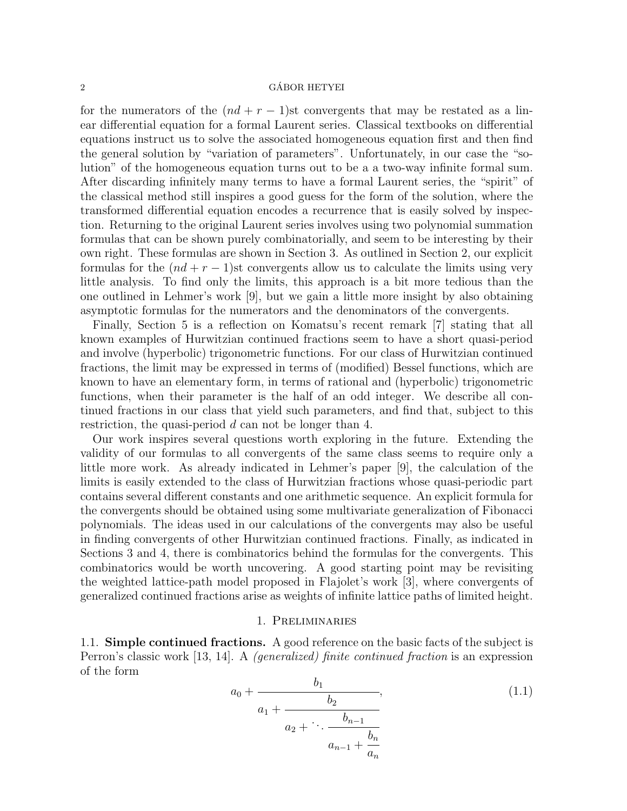# $\alpha$  GÁBOR HETYEI

for the numerators of the  $(nd + r - 1)$ st convergents that may be restated as a linear differential equation for a formal Laurent series. Classical textbooks on differential equations instruct us to solve the associated homogeneous equation first and then find the general solution by "variation of parameters". Unfortunately, in our case the "solution" of the homogeneous equation turns out to be a a two-way infinite formal sum. After discarding infinitely many terms to have a formal Laurent series, the "spirit" of the classical method still inspires a good guess for the form of the solution, where the transformed differential equation encodes a recurrence that is easily solved by inspection. Returning to the original Laurent series involves using two polynomial summation formulas that can be shown purely combinatorially, and seem to be interesting by their own right. These formulas are shown in Section 3. As outlined in Section 2, our explicit formulas for the  $(nd + r - 1)$ st convergents allow us to calculate the limits using very little analysis. To find only the limits, this approach is a bit more tedious than the one outlined in Lehmer's work [9], but we gain a little more insight by also obtaining asymptotic formulas for the numerators and the denominators of the convergents.

Finally, Section 5 is a reflection on Komatsu's recent remark [7] stating that all known examples of Hurwitzian continued fractions seem to have a short quasi-period and involve (hyperbolic) trigonometric functions. For our class of Hurwitzian continued fractions, the limit may be expressed in terms of (modified) Bessel functions, which are known to have an elementary form, in terms of rational and (hyperbolic) trigonometric functions, when their parameter is the half of an odd integer. We describe all continued fractions in our class that yield such parameters, and find that, subject to this restriction, the quasi-period d can not be longer than 4.

Our work inspires several questions worth exploring in the future. Extending the validity of our formulas to all convergents of the same class seems to require only a little more work. As already indicated in Lehmer's paper [9], the calculation of the limits is easily extended to the class of Hurwitzian fractions whose quasi-periodic part contains several different constants and one arithmetic sequence. An explicit formula for the convergents should be obtained using some multivariate generalization of Fibonacci polynomials. The ideas used in our calculations of the convergents may also be useful in finding convergents of other Hurwitzian continued fractions. Finally, as indicated in Sections 3 and 4, there is combinatorics behind the formulas for the convergents. This combinatorics would be worth uncovering. A good starting point may be revisiting the weighted lattice-path model proposed in Flajolet's work [3], where convergents of generalized continued fractions arise as weights of infinite lattice paths of limited height.

## 1. Preliminaries

1.1. Simple continued fractions. A good reference on the basic facts of the subject is Perron's classic work [13, 14]. A (generalized) finite continued fraction is an expression of the form

$$
a_0 + \cfrac{b_1}{a_1 + \cfrac{b_2}{a_2 + \cdots + \cfrac{b_{n-1}}{a_{n-1} + \cfrac{b_n}{a_n}}}},\tag{1.1}
$$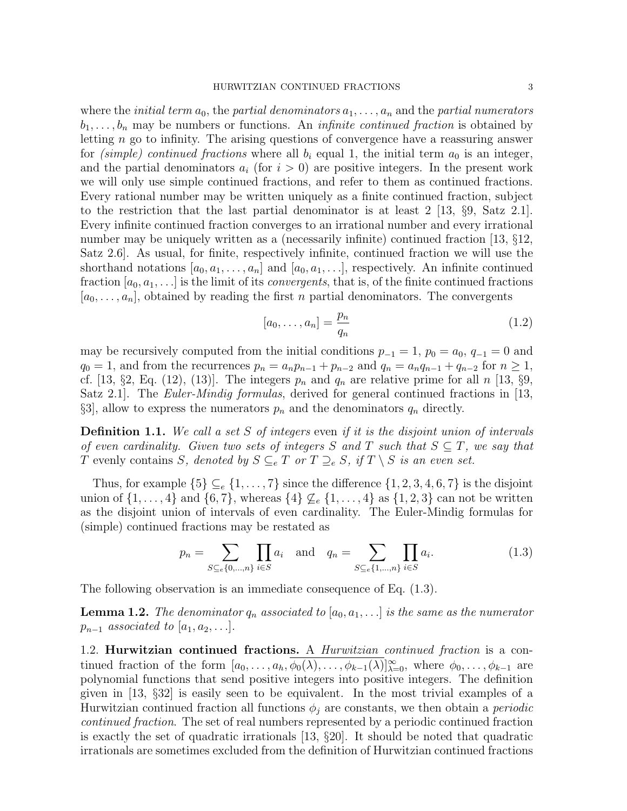where the *initial term*  $a_0$ , the *partial denominators*  $a_1, \ldots, a_n$  and the *partial numerators*  $b_1, \ldots, b_n$  may be numbers or functions. An *infinite continued fraction* is obtained by letting n go to infinity. The arising questions of convergence have a reassuring answer for (simple) continued fractions where all  $b_i$  equal 1, the initial term  $a_0$  is an integer, and the partial denominators  $a_i$  (for  $i > 0$ ) are positive integers. In the present work we will only use simple continued fractions, and refer to them as continued fractions. Every rational number may be written uniquely as a finite continued fraction, subject to the restriction that the last partial denominator is at least  $2 \, [13, \, \S9, \, \text{Satz} \, 2.1].$ Every infinite continued fraction converges to an irrational number and every irrational number may be uniquely written as a (necessarily infinite) continued fraction [13, §12, Satz 2.6]. As usual, for finite, respectively infinite, continued fraction we will use the shorthand notations  $[a_0, a_1, \ldots, a_n]$  and  $[a_0, a_1, \ldots]$ , respectively. An infinite continued fraction  $[a_0, a_1, \ldots]$  is the limit of its *convergents*, that is, of the finite continued fractions  $[a_0, \ldots, a_n]$ , obtained by reading the first *n* partial denominators. The convergents

$$
[a_0, \dots, a_n] = \frac{p_n}{q_n} \tag{1.2}
$$

may be recursively computed from the initial conditions  $p_{-1} = 1$ ,  $p_0 = a_0$ ,  $q_{-1} = 0$  and  $q_0 = 1$ , and from the recurrences  $p_n = a_n p_{n-1} + p_{n-2}$  and  $q_n = a_n q_{n-1} + q_{n-2}$  for  $n \ge 1$ , cf. [13, §2, Eq. (12), (13)]. The integers  $p_n$  and  $q_n$  are relative prime for all n [13, §9, Satz 2.1. The *Euler-Mindig formulas*, derived for general continued fractions in [13,  $\S3$ , allow to express the numerators  $p_n$  and the denominators  $q_n$  directly.

**Definition 1.1.** We call a set S of integers even if it is the disjoint union of intervals of even cardinality. Given two sets of integers S and T such that  $S \subseteq T$ , we say that T evenly contains S, denoted by  $S \subseteq_{e} T$  or  $T \supseteq_{e} S$ , if  $T \setminus S$  is an even set.

Thus, for example  $\{5\} \subseteq_e \{1, \ldots, 7\}$  since the difference  $\{1, 2, 3, 4, 6, 7\}$  is the disjoint union of  $\{1,\ldots,4\}$  and  $\{6,7\}$ , whereas  $\{4\} \nsubseteq_e \{1,\ldots,4\}$  as  $\{1,2,3\}$  can not be written as the disjoint union of intervals of even cardinality. The Euler-Mindig formulas for (simple) continued fractions may be restated as

$$
p_n = \sum_{S \subseteq e\{0, ..., n\}} \prod_{i \in S} a_i \text{ and } q_n = \sum_{S \subseteq e\{1, ..., n\}} \prod_{i \in S} a_i.
$$
 (1.3)

The following observation is an immediate consequence of Eq. (1.3).

**Lemma 1.2.** The denominator  $q_n$  associated to  $[a_0, a_1, \ldots]$  is the same as the numerator  $p_{n-1}$  associated to  $[a_1, a_2, \ldots]$ .

1.2. Hurwitzian continued fractions. A Hurwitzian continued fraction is a continued fraction of the form  $[a_0, \ldots, a_h, \overline{\phi_0(\lambda)}, \ldots, \phi_{k-1}(\lambda)]_{\lambda=0}^{\infty}$ , where  $\phi_0, \ldots, \phi_{k-1}$  are polynomial functions that send positive integers into positive integers. The definition given in [13, §32] is easily seen to be equivalent. In the most trivial examples of a Hurwitzian continued fraction all functions  $\phi_i$  are constants, we then obtain a *periodic* continued fraction. The set of real numbers represented by a periodic continued fraction is exactly the set of quadratic irrationals [13, §20]. It should be noted that quadratic irrationals are sometimes excluded from the definition of Hurwitzian continued fractions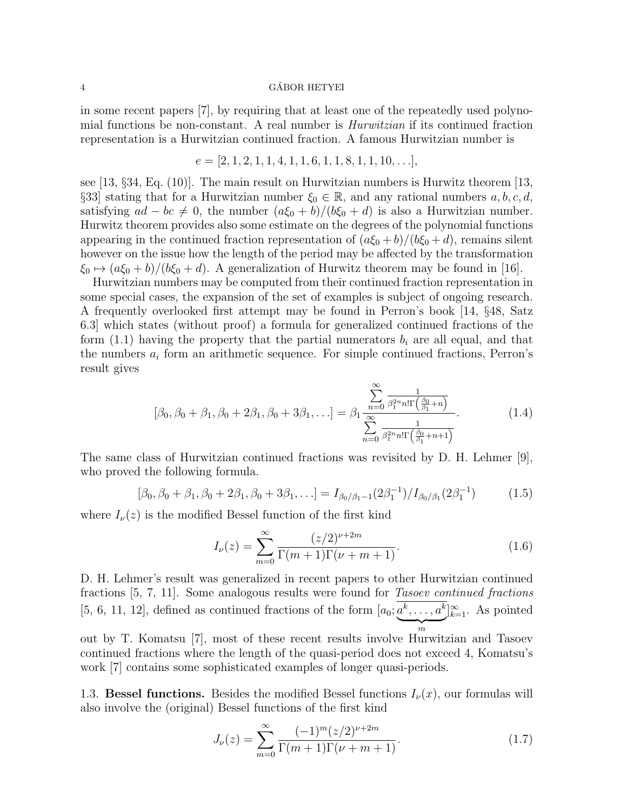## 4 GABOR HETYEI ´

in some recent papers [7], by requiring that at least one of the repeatedly used polynomial functions be non-constant. A real number is Hurwitzian if its continued fraction representation is a Hurwitzian continued fraction. A famous Hurwitzian number is

$$
e = [2, 1, 2, 1, 1, 4, 1, 1, 6, 1, 1, 8, 1, 1, 10, \ldots],
$$

see [13, §34, Eq. (10)]. The main result on Hurwitzian numbers is Hurwitz theorem [13, §33] stating that for a Hurwitzian number  $\xi_0 \in \mathbb{R}$ , and any rational numbers  $a, b, c, d$ , satisfying  $ad - bc \neq 0$ , the number  $(a\xi_0 + b)/(b\xi_0 + d)$  is also a Hurwitzian number. Hurwitz theorem provides also some estimate on the degrees of the polynomial functions appearing in the continued fraction representation of  $(a\xi_0 + b)/(b\xi_0 + d)$ , remains silent however on the issue how the length of the period may be affected by the transformation  $\xi_0 \mapsto (a\xi_0 + b)/(b\xi_0 + d)$ . A generalization of Hurwitz theorem may be found in [16].

Hurwitzian numbers may be computed from their continued fraction representation in some special cases, the expansion of the set of examples is subject of ongoing research. A frequently overlooked first attempt may be found in Perron's book [14, §48, Satz 6.3] which states (without proof) a formula for generalized continued fractions of the form  $(1.1)$  having the property that the partial numerators  $b_i$  are all equal, and that the numbers  $a_i$  form an arithmetic sequence. For simple continued fractions, Perron's result gives

$$
[\beta_0, \beta_0 + \beta_1, \beta_0 + 2\beta_1, \beta_0 + 3\beta_1, \ldots] = \beta_1 \frac{\sum_{n=0}^{\infty} \frac{1}{\beta_1^{2n} n! \Gamma\left(\frac{\beta_0}{\beta_1} + n\right)}}{\sum_{n=0}^{\infty} \frac{1}{\beta_1^{2n} n! \Gamma\left(\frac{\beta_0}{\beta_1} + n + 1\right)}}.
$$
(1.4)

The same class of Hurwitzian continued fractions was revisited by D. H. Lehmer [9], who proved the following formula.

$$
[\beta_0, \beta_0 + \beta_1, \beta_0 + 2\beta_1, \beta_0 + 3\beta_1, \ldots] = I_{\beta_0/\beta_1 - 1}(2\beta_1^{-1})/I_{\beta_0/\beta_1}(2\beta_1^{-1})
$$
(1.5)

where  $I_{\nu}(z)$  is the modified Bessel function of the first kind

$$
I_{\nu}(z) = \sum_{m=0}^{\infty} \frac{(z/2)^{\nu+2m}}{\Gamma(m+1)\Gamma(\nu+m+1)}.
$$
\n(1.6)

D. H. Lehmer's result was generalized in recent papers to other Hurwitzian continued fractions [5, 7, 11]. Some analogous results were found for Tasoev continued fractions [5, 6, 11, 12], defined as continued fractions of the form  $[a_0; a^k, \ldots, a^k]$  $\overline{m}$  $]_{k=1}^{\infty}$ . As pointed out by T. Komatsu [7], most of these recent results involve Hurwitzian and Tasoev continued fractions where the length of the quasi-period does not exceed 4, Komatsu's

work [7] contains some sophisticated examples of longer quasi-periods.

1.3. Bessel functions. Besides the modified Bessel functions  $I_{\nu}(x)$ , our formulas will also involve the (original) Bessel functions of the first kind

$$
J_{\nu}(z) = \sum_{m=0}^{\infty} \frac{(-1)^m (z/2)^{\nu+2m}}{\Gamma(m+1)\Gamma(\nu+m+1)}.
$$
 (1.7)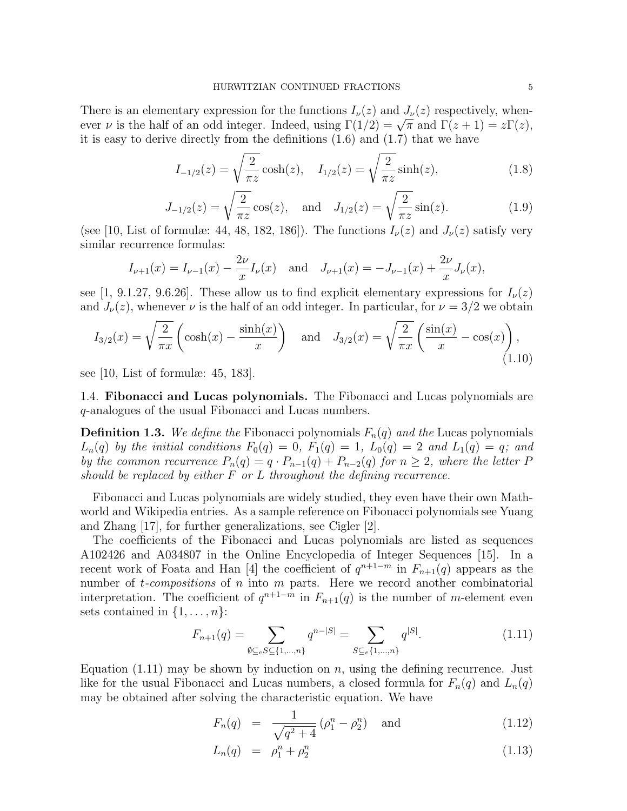There is an elementary expression for the functions  $I_{\nu}(z)$  and  $J_{\nu}(z)$  respectively, when-There is an elementary expression for the functions  $I_{\nu}(z)$  and  $J_{\nu}(z)$  respectively, whenever  $\nu$  is the half of an odd integer. Indeed, using  $\Gamma(1/2) = \sqrt{\pi}$  and  $\Gamma(z+1) = z\Gamma(z)$ , it is easy to derive directly from the definitions (1.6) and (1.7) that we have

$$
I_{-1/2}(z) = \sqrt{\frac{2}{\pi z}} \cosh(z), \quad I_{1/2}(z) = \sqrt{\frac{2}{\pi z}} \sinh(z), \tag{1.8}
$$

$$
J_{-1/2}(z) = \sqrt{\frac{2}{\pi z}} \cos(z), \text{ and } J_{1/2}(z) = \sqrt{\frac{2}{\pi z}} \sin(z). \tag{1.9}
$$

(see [10, List of formulæ: 44, 48, 182, 186]). The functions  $I_{\nu}(z)$  and  $J_{\nu}(z)$  satisfy very similar recurrence formulas:

$$
I_{\nu+1}(x) = I_{\nu-1}(x) - \frac{2\nu}{x}I_{\nu}(x)
$$
 and  $J_{\nu+1}(x) = -J_{\nu-1}(x) + \frac{2\nu}{x}J_{\nu}(x)$ ,

see [1, 9.1.27, 9.6.26]. These allow us to find explicit elementary expressions for  $I_{\nu}(z)$ and  $J_{\nu}(z)$ , whenever  $\nu$  is the half of an odd integer. In particular, for  $\nu = 3/2$  we obtain

$$
I_{3/2}(x) = \sqrt{\frac{2}{\pi x}} \left( \cosh(x) - \frac{\sinh(x)}{x} \right) \quad \text{and} \quad J_{3/2}(x) = \sqrt{\frac{2}{\pi x}} \left( \frac{\sin(x)}{x} - \cos(x) \right),\tag{1.10}
$$

see [10, List of formulæ: 45, 183].

1.4. Fibonacci and Lucas polynomials. The Fibonacci and Lucas polynomials are q-analogues of the usual Fibonacci and Lucas numbers.

**Definition 1.3.** We define the Fibonacci polynomials  $F_n(q)$  and the Lucas polynomials  $L_n(q)$  by the initial conditions  $F_0(q) = 0$ ,  $F_1(q) = 1$ ,  $L_0(q) = 2$  and  $L_1(q) = q$ ; and by the common recurrence  $P_n(q) = q \cdot P_{n-1}(q) + P_{n-2}(q)$  for  $n \geq 2$ , where the letter P should be replaced by either  $F$  or  $L$  throughout the defining recurrence.

Fibonacci and Lucas polynomials are widely studied, they even have their own Mathworld and Wikipedia entries. As a sample reference on Fibonacci polynomials see Yuang and Zhang [17], for further generalizations, see Cigler [2].

The coefficients of the Fibonacci and Lucas polynomials are listed as sequences A102426 and A034807 in the Online Encyclopedia of Integer Sequences [15]. In a recent work of Foata and Han [4] the coefficient of  $q^{n+1-m}$  in  $F_{n+1}(q)$  appears as the number of  $t$ -compositions of n into m parts. Here we record another combinatorial interpretation. The coefficient of  $q^{n+1-m}$  in  $F_{n+1}(q)$  is the number of m-element even sets contained in  $\{1, \ldots, n\}$ :

$$
F_{n+1}(q) = \sum_{\emptyset \subseteq e} S \subseteq \{1, \dots, n\} q^{n-|S|} = \sum_{S \subseteq e} \{1, \dots, n\} q^{|S|}.
$$
 (1.11)

Equation  $(1.11)$  may be shown by induction on n, using the defining recurrence. Just like for the usual Fibonacci and Lucas numbers, a closed formula for  $F_n(q)$  and  $L_n(q)$ may be obtained after solving the characteristic equation. We have

$$
F_n(q) = \frac{1}{\sqrt{q^2 + 4}} \left( \rho_1^n - \rho_2^n \right) \quad \text{and} \tag{1.12}
$$

$$
L_n(q) = \rho_1^n + \rho_2^n \tag{1.13}
$$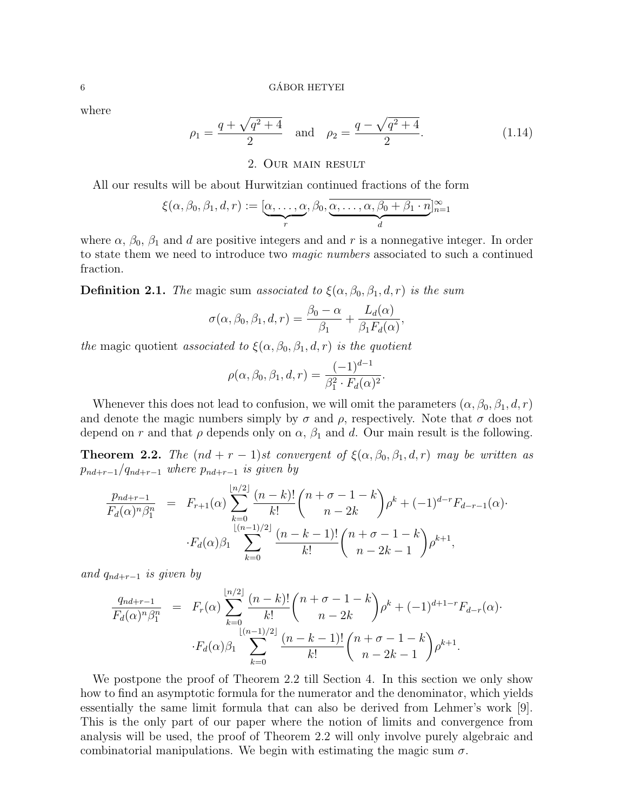where

$$
\rho_1 = \frac{q + \sqrt{q^2 + 4}}{2} \quad \text{and} \quad \rho_2 = \frac{q - \sqrt{q^2 + 4}}{2}.
$$
 (1.14)

# 2. Our main result

All our results will be about Hurwitzian continued fractions of the form

$$
\xi(\alpha,\beta_0,\beta_1,d,r):=[\underbrace{\alpha,\ldots,\alpha}_{r},\beta_0,\underbrace{\overline{\alpha,\ldots,\alpha},\beta_0+\beta_1\cdot n}_{d}]_{n=1}^{\infty}
$$

where  $\alpha$ ,  $\beta_0$ ,  $\beta_1$  and d are positive integers and and r is a nonnegative integer. In order to state them we need to introduce two magic numbers associated to such a continued fraction.

**Definition 2.1.** The magic sum associated to  $\xi(\alpha, \beta_0, \beta_1, d, r)$  is the sum

$$
\sigma(\alpha, \beta_0, \beta_1, d, r) = \frac{\beta_0 - \alpha}{\beta_1} + \frac{L_d(\alpha)}{\beta_1 F_d(\alpha)},
$$

the magic quotient associated to  $\xi(\alpha, \beta_0, \beta_1, d, r)$  is the quotient

$$
\rho(\alpha, \beta_0, \beta_1, d, r) = \frac{(-1)^{d-1}}{\beta_1^2 \cdot F_d(\alpha)^2}.
$$

Whenever this does not lead to confusion, we will omit the parameters  $(\alpha, \beta_0, \beta_1, d, r)$ and denote the magic numbers simply by  $\sigma$  and  $\rho$ , respectively. Note that  $\sigma$  does not depend on r and that  $\rho$  depends only on  $\alpha$ ,  $\beta_1$  and d. Our main result is the following.

**Theorem 2.2.** The  $(nd + r - 1)$ st convergent of  $\xi(\alpha, \beta_0, \beta_1, d, r)$  may be written as  $p_{nd+r-1}/q_{nd+r-1}$  where  $p_{nd+r-1}$  is given by

$$
\frac{p_{nd+r-1}}{F_d(\alpha)^n \beta_1^n} = F_{r+1}(\alpha) \sum_{k=0}^{\lfloor n/2 \rfloor} \frac{(n-k)!}{k!} {n+\sigma-1-k \choose n-2k} \rho^k + (-1)^{d-r} F_{d-r-1}(\alpha) \cdot F_d(\alpha) \beta_1 \sum_{k=0}^{\lfloor (n-1)/2 \rfloor} \frac{(n-k-1)!}{k!} {n+\sigma-1-k \choose n-2k-1} \rho^{k+1},
$$

and  $q_{nd+r-1}$  is given by

$$
\frac{q_{nd+r-1}}{F_d(\alpha)^n \beta_1^n} = F_r(\alpha) \sum_{k=0}^{\lfloor n/2 \rfloor} \frac{(n-k)!}{k!} {n+\sigma-1-k \choose n-2k} \rho^k + (-1)^{d+1-r} F_{d-r}(\alpha) \cdot F_d(\alpha) \beta_1 \sum_{k=0}^{\lfloor (n-1)/2 \rfloor} \frac{(n-k-1)!}{k!} {n+\sigma-1-k \choose n-2k-1} \rho^{k+1}.
$$

We postpone the proof of Theorem 2.2 till Section 4. In this section we only show how to find an asymptotic formula for the numerator and the denominator, which yields essentially the same limit formula that can also be derived from Lehmer's work [9]. This is the only part of our paper where the notion of limits and convergence from analysis will be used, the proof of Theorem 2.2 will only involve purely algebraic and combinatorial manipulations. We begin with estimating the magic sum  $\sigma$ .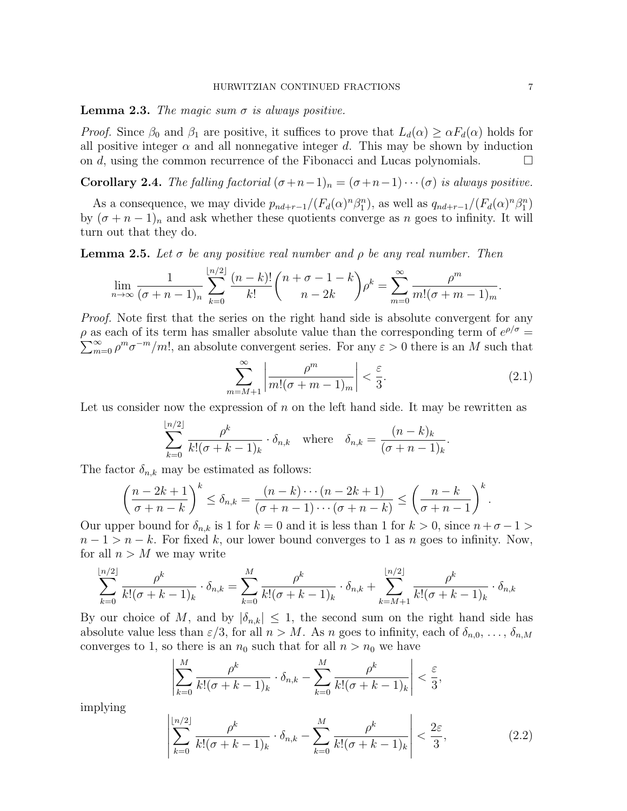#### HURWITZIAN CONTINUED FRACTIONS 7

**Lemma 2.3.** The magic sum  $\sigma$  is always positive.

*Proof.* Since  $\beta_0$  and  $\beta_1$  are positive, it suffices to prove that  $L_d(\alpha) \geq \alpha F_d(\alpha)$  holds for all positive integer  $\alpha$  and all nonnegative integer d. This may be shown by induction on d, using the common recurrence of the Fibonacci and Lucas polynomials.  $\Box$ 

**Corollary 2.4.** The falling factorial  $(\sigma+n-1)_n = (\sigma+n-1)\cdots(\sigma)$  is always positive.

As a consequence, we may divide  $p_{nd+r-1}/(F_d(\alpha)^n \beta_1^n)$ , as well as  $q_{nd+r-1}/(F_d(\alpha)^n \beta_1^n)$ by  $(\sigma + n - 1)_n$  and ask whether these quotients converge as n goes to infinity. It will turn out that they do.

**Lemma 2.5.** Let  $\sigma$  be any positive real number and  $\rho$  be any real number. Then

$$
\lim_{n \to \infty} \frac{1}{(\sigma + n - 1)_n} \sum_{k=0}^{\lfloor n/2 \rfloor} \frac{(n-k)!}{k!} {n + \sigma - 1 - k \choose n-2k} \rho^k = \sum_{m=0}^{\infty} \frac{\rho^m}{m!(\sigma + m - 1)_m}.
$$

*Proof.* Note first that the series on the right hand side is absolute convergent for any  $\rho$  as each of its term has smaller absolute value than the corresponding term of  $e^{\rho/\sigma} =$  $\sum_{m=0}^{\infty} \rho^m \sigma^{-m} / m!$ , an absolute convergent series. For any  $\varepsilon > 0$  there is an M such that

$$
\sum_{m=M+1}^{\infty} \left| \frac{\rho^m}{m!(\sigma+m-1)_m} \right| < \frac{\varepsilon}{3}.\tag{2.1}
$$

.

,

Let us consider now the expression of  $n$  on the left hand side. It may be rewritten as

$$
\sum_{k=0}^{\lfloor n/2 \rfloor} \frac{\rho^k}{k! (\sigma + k - 1)_k} \cdot \delta_{n,k} \quad \text{where} \quad \delta_{n,k} = \frac{(n-k)_k}{(\sigma + n - 1)_k}
$$

The factor  $\delta_{n,k}$  may be estimated as follows:

$$
\left(\frac{n-2k+1}{\sigma+n-k}\right)^k \leq \delta_{n,k} = \frac{(n-k)\cdots(n-2k+1)}{(\sigma+n-1)\cdots(\sigma+n-k)} \leq \left(\frac{n-k}{\sigma+n-1}\right)^k.
$$

Our upper bound for  $\delta_{n,k}$  is 1 for  $k = 0$  and it is less than 1 for  $k > 0$ , since  $n + \sigma - 1 >$  $n-1 > n-k$ . For fixed k, our lower bound converges to 1 as n goes to infinity. Now, for all  $n > M$  we may write

$$
\sum_{k=0}^{\lfloor n/2 \rfloor} \frac{\rho^k}{k! (\sigma + k - 1)_k} \cdot \delta_{n,k} = \sum_{k=0}^M \frac{\rho^k}{k! (\sigma + k - 1)_k} \cdot \delta_{n,k} + \sum_{k=M+1}^{\lfloor n/2 \rfloor} \frac{\rho^k}{k! (\sigma + k - 1)_k} \cdot \delta_{n,k}
$$

By our choice of M, and by  $|\delta_{n,k}| \leq 1$ , the second sum on the right hand side has absolute value less than  $\varepsilon/3$ , for all  $n > M$ . As n goes to infinity, each of  $\delta_{n,0}, \ldots, \delta_{n,M}$ converges to 1, so there is an  $n_0$  such that for all  $n > n_0$  we have

$$
\left| \sum_{k=0}^{M} \frac{\rho^k}{k! (\sigma + k - 1)_k} \cdot \delta_{n,k} - \sum_{k=0}^{M} \frac{\rho^k}{k! (\sigma + k - 1)_k} \right| < \frac{\varepsilon}{3}
$$

implying

$$
\left|\sum_{k=0}^{\lfloor n/2 \rfloor} \frac{\rho^k}{k! (\sigma + k - 1)_k} \cdot \delta_{n,k} - \sum_{k=0}^M \frac{\rho^k}{k! (\sigma + k - 1)_k}\right| < \frac{2\varepsilon}{3},\tag{2.2}
$$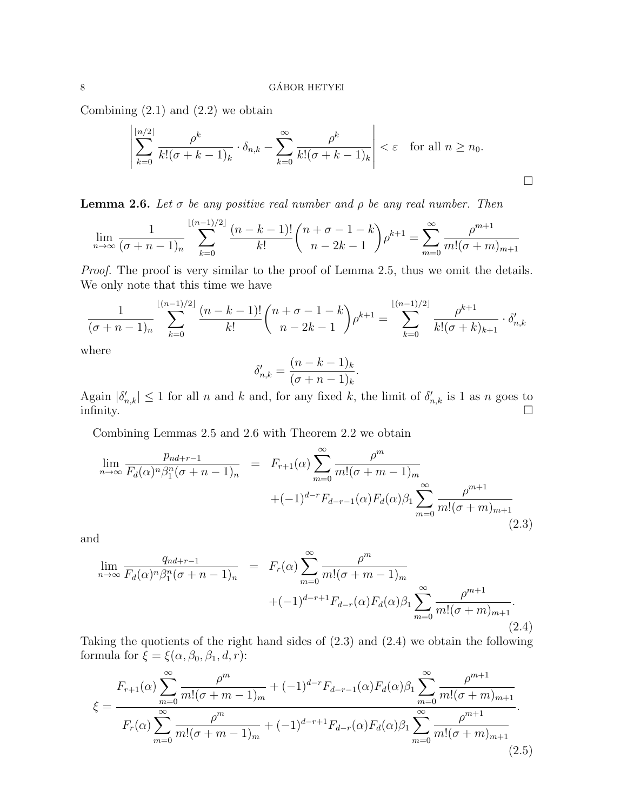Combining  $(2.1)$  and  $(2.2)$  we obtain

$$
\left|\sum_{k=0}^{\lfloor n/2 \rfloor} \frac{\rho^k}{k! (\sigma + k - 1)_k} \cdot \delta_{n,k} - \sum_{k=0}^{\infty} \frac{\rho^k}{k! (\sigma + k - 1)_k}\right| < \varepsilon \quad \text{for all } n \ge n_0.
$$

**Lemma 2.6.** Let  $\sigma$  be any positive real number and  $\rho$  be any real number. Then

$$
\lim_{n \to \infty} \frac{1}{(\sigma + n - 1)_n} \sum_{k=0}^{\lfloor (n-1)/2 \rfloor} \frac{(n-k-1)!}{k!} {n+\sigma-1-k \choose n-2k-1} \rho^{k+1} = \sum_{m=0}^{\infty} \frac{\rho^{m+1}}{m!(\sigma + m)_{m+1}}
$$

Proof. The proof is very similar to the proof of Lemma 2.5, thus we omit the details. We only note that this time we have

$$
\frac{1}{(\sigma+n-1)_n} \sum_{k=0}^{\lfloor (n-1)/2 \rfloor} \frac{(n-k-1)!}{k!} {n+\sigma-1-k \choose n-2k-1} \rho^{k+1} = \sum_{k=0}^{\lfloor (n-1)/2 \rfloor} \frac{\rho^{k+1}}{k!(\sigma+k)_{k+1}} \cdot \delta'_{n,k}
$$

where

$$
\delta'_{n,k} = \frac{(n-k-1)_k}{(\sigma+n-1)_k}.
$$

Again  $|\delta'_{n,k}| \leq 1$  for all n and k and, for any fixed k, the limit of  $\delta'_{n,k}$  is 1 as n goes to infinity.  $\square$ 

Combining Lemmas 2.5 and 2.6 with Theorem 2.2 we obtain

$$
\lim_{n \to \infty} \frac{p_{nd+r-1}}{F_d(\alpha)^n \beta_1^n (\sigma + n - 1)_n} = F_{r+1}(\alpha) \sum_{m=0}^{\infty} \frac{\rho^m}{m! (\sigma + m - 1)_m}
$$
  
 
$$
+ (-1)^{d-r} F_{d-r-1}(\alpha) F_d(\alpha) \beta_1 \sum_{m=0}^{\infty} \frac{\rho^{m+1}}{m! (\sigma + m)_{m+1}} \tag{2.3}
$$

and

$$
\lim_{n \to \infty} \frac{q_{nd+r-1}}{F_d(\alpha)^n \beta_1^n (\sigma + n - 1)_n} = F_r(\alpha) \sum_{m=0}^{\infty} \frac{\rho^m}{m! (\sigma + m - 1)_m} + (-1)^{d-r+1} F_{d-r}(\alpha) F_d(\alpha) \beta_1 \sum_{m=0}^{\infty} \frac{\rho^{m+1}}{m! (\sigma + m)_{m+1}}.
$$
\n(2.4)

Taking the quotients of the right hand sides of (2.3) and (2.4) we obtain the following formula for  $\xi = \xi(\alpha, \beta_0, \beta_1, d, r)$ :

$$
\xi = \frac{F_{r+1}(\alpha) \sum_{m=0}^{\infty} \frac{\rho^m}{m!(\sigma+m-1)_m} + (-1)^{d-r} F_{d-r-1}(\alpha) F_d(\alpha) \beta_1 \sum_{m=0}^{\infty} \frac{\rho^{m+1}}{m!(\sigma+m)_{m+1}}}{F_r(\alpha) \sum_{m=0}^{\infty} \frac{\rho^m}{m!(\sigma+m-1)_m} + (-1)^{d-r+1} F_{d-r}(\alpha) F_d(\alpha) \beta_1 \sum_{m=0}^{\infty} \frac{\rho^{m+1}}{m!(\sigma+m)_{m+1}}}
$$
\n(2.5)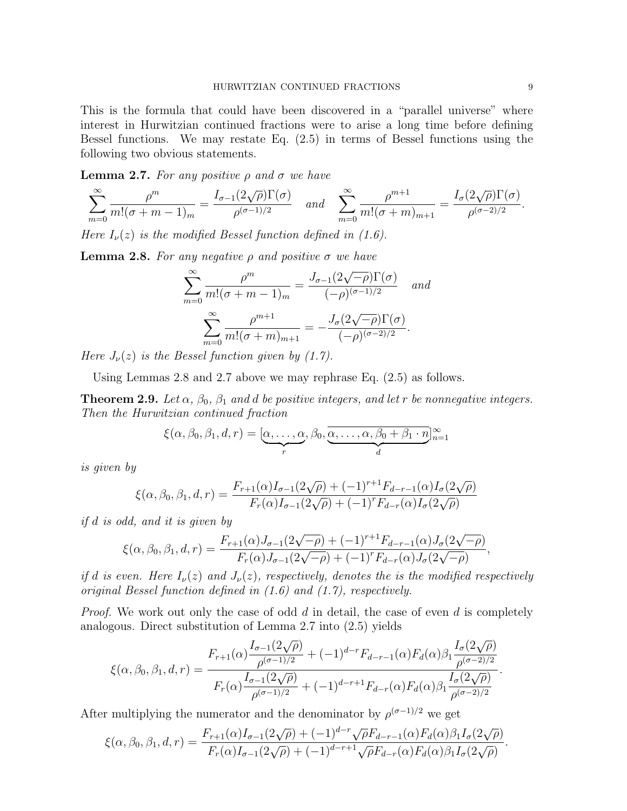This is the formula that could have been discovered in a "parallel universe" where interest in Hurwitzian continued fractions were to arise a long time before defining Bessel functions. We may restate Eq. (2.5) in terms of Bessel functions using the following two obvious statements.

**Lemma 2.7.** For any positive  $\rho$  and  $\sigma$  we have

$$
\sum_{m=0}^{\infty} \frac{\rho^m}{m!(\sigma+m-1)_m} = \frac{I_{\sigma-1}(2\sqrt{\rho})\Gamma(\sigma)}{\rho^{(\sigma-1)/2}} \quad and \quad \sum_{m=0}^{\infty} \frac{\rho^{m+1}}{m!(\sigma+m)_{m+1}} = \frac{I_{\sigma}(2\sqrt{\rho})\Gamma(\sigma)}{\rho^{(\sigma-2)/2}}.
$$

Here  $I_{\nu}(z)$  is the modified Bessel function defined in (1.6).

**Lemma 2.8.** For any negative  $\rho$  and positive  $\sigma$  we have

$$
\sum_{m=0}^{\infty} \frac{\rho^m}{m!(\sigma+m-1)_m} = \frac{J_{\sigma-1}(2\sqrt{-\rho})\Gamma(\sigma)}{(-\rho)^{(\sigma-1)/2}} \quad and
$$

$$
\sum_{m=0}^{\infty} \frac{\rho^{m+1}}{m!(\sigma+m)_{m+1}} = -\frac{J_{\sigma}(2\sqrt{-\rho})\Gamma(\sigma)}{(-\rho)^{(\sigma-2)/2}}.
$$

Here  $J_{\nu}(z)$  is the Bessel function given by (1.7).

Using Lemmas 2.8 and 2.7 above we may rephrase Eq. (2.5) as follows.

**Theorem 2.9.** Let  $\alpha$ ,  $\beta_0$ ,  $\beta_1$  and d be positive integers, and let r be nonnegative integers. Then the Hurwitzian continued fraction

$$
\xi(\alpha,\beta_0,\beta_1,d,r) = [\underbrace{\alpha,\ldots,\alpha}_{r},\beta_0,\underbrace{\overline{\alpha,\ldots,\alpha,\beta_0+\beta_1\cdot n}}_{d}]_{n=1}^{\infty}
$$

is given by

$$
\xi(\alpha,\beta_0,\beta_1,d,r) = \frac{F_{r+1}(\alpha)I_{\sigma-1}(2\sqrt{\rho}) + (-1)^{r+1}F_{d-r-1}(\alpha)I_{\sigma}(2\sqrt{\rho})}{F_r(\alpha)I_{\sigma-1}(2\sqrt{\rho}) + (-1)^rF_{d-r}(\alpha)I_{\sigma}(2\sqrt{\rho})}
$$

if d is odd, and it is given by

$$
\xi(\alpha,\beta_0,\beta_1,d,r) = \frac{F_{r+1}(\alpha)J_{\sigma-1}(2\sqrt{-\rho}) + (-1)^{r+1}F_{d-r-1}(\alpha)J_{\sigma}(2\sqrt{-\rho})}{F_r(\alpha)J_{\sigma-1}(2\sqrt{-\rho}) + (-1)^rF_{d-r}(\alpha)J_{\sigma}(2\sqrt{-\rho})},
$$

if d is even. Here  $I_{\nu}(z)$  and  $J_{\nu}(z)$ , respectively, denotes the is the modified respectively original Bessel function defined in (1.6) and (1.7), respectively.

*Proof.* We work out only the case of odd  $d$  in detail, the case of even  $d$  is completely analogous. Direct substitution of Lemma 2.7 into (2.5) yields

$$
\xi(\alpha,\beta_0,\beta_1,d,r) = \frac{F_{r+1}(\alpha)\frac{I_{\sigma-1}(2\sqrt{\rho})}{\rho^{(\sigma-1)/2}} + (-1)^{d-r}F_{d-r-1}(\alpha)F_d(\alpha)\beta_1\frac{I_{\sigma}(2\sqrt{\rho})}{\rho^{(\sigma-2)/2}}}{F_r(\alpha)\frac{I_{\sigma-1}(2\sqrt{\rho})}{\rho^{(\sigma-1)/2}} + (-1)^{d-r+1}F_{d-r}(\alpha)F_d(\alpha)\beta_1\frac{I_{\sigma}(2\sqrt{\rho})}{\rho^{(\sigma-2)/2}}}.
$$

After multiplying the numerator and the denominator by  $\rho^{(\sigma-1)/2}$  we get

$$
\xi(\alpha,\beta_0,\beta_1,d,r) = \frac{F_{r+1}(\alpha)I_{\sigma-1}(2\sqrt{\rho}) + (-1)^{d-r}\sqrt{\rho}F_{d-r-1}(\alpha)F_d(\alpha)\beta_1I_{\sigma}(2\sqrt{\rho})}{F_r(\alpha)I_{\sigma-1}(2\sqrt{\rho}) + (-1)^{d-r+1}\sqrt{\rho}F_{d-r}(\alpha)F_d(\alpha)\beta_1I_{\sigma}(2\sqrt{\rho})}.
$$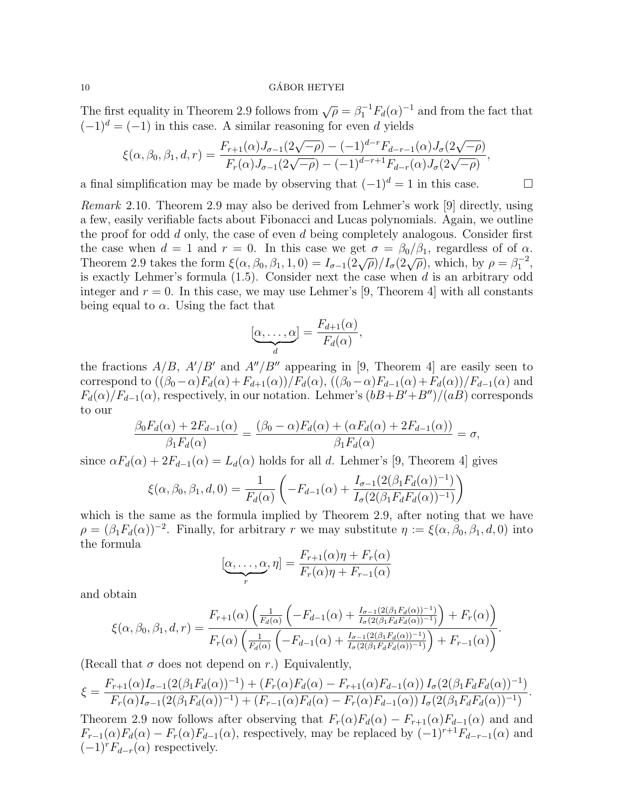The first equality in Theorem 2.9 follows from  $\sqrt{\rho} = \beta_1^{-1} F_d(\alpha)^{-1}$  and from the fact that  $(-1)^d = (-1)$  in this case. A similar reasoning for even d yields

$$
\xi(\alpha,\beta_0,\beta_1,d,r) = \frac{F_{r+1}(\alpha)J_{\sigma-1}(2\sqrt{-\rho}) - (-1)^{d-r}F_{d-r-1}(\alpha)J_{\sigma}(2\sqrt{-\rho})}{F_r(\alpha)J_{\sigma-1}(2\sqrt{-\rho}) - (-1)^{d-r+1}F_{d-r}(\alpha)J_{\sigma}(2\sqrt{-\rho})},
$$

a final simplification may be made by observing that  $(-1)^d = 1$  in this case.

Remark 2.10. Theorem 2.9 may also be derived from Lehmer's work [9] directly, using a few, easily verifiable facts about Fibonacci and Lucas polynomials. Again, we outline the proof for odd  $d$  only, the case of even  $d$  being completely analogous. Consider first the case when  $d = 1$  and  $r = 0$ . In this case we get  $\sigma = \beta_0/\beta_1$ , regardless of of  $\alpha$ . Theorem 2.9 takes the form  $\xi(\alpha, \beta_0, \beta_1, 1, 0) = I_{\sigma-1}(2\sqrt{\rho})/I_{\sigma}(2\sqrt{\rho})$ , which, by  $\rho = \beta_1^{-2}$ , is exactly Lehmer's formula  $(1.5)$ . Consider next the case when d is an arbitrary odd integer and  $r = 0$ . In this case, we may use Lehmer's [9, Theorem 4] with all constants being equal to  $\alpha$ . Using the fact that

$$
[\underbrace{\alpha, \ldots, \alpha}_{d}] = \frac{F_{d+1}(\alpha)}{F_d(\alpha)},
$$

the fractions  $A/B$ ,  $A'/B'$  and  $A''/B''$  appearing in [9, Theorem 4] are easily seen to correspond to  $((\beta_0-\alpha)F_d(\alpha)+F_{d+1}(\alpha))/F_d(\alpha)$ ,  $((\beta_0-\alpha)F_{d-1}(\alpha)+F_d(\alpha))/F_{d-1}(\alpha)$  and  $F_d(\alpha)/F_{d-1}(\alpha)$ , respectively, in our notation. Lehmer's  $(bB+B'+B'')/(aB)$  corresponds to our

$$
\frac{\beta_0 F_d(\alpha) + 2F_{d-1}(\alpha)}{\beta_1 F_d(\alpha)} = \frac{(\beta_0 - \alpha) F_d(\alpha) + (\alpha F_d(\alpha) + 2F_{d-1}(\alpha))}{\beta_1 F_d(\alpha)} = \sigma,
$$

since  $\alpha F_d(\alpha) + 2F_{d-1}(\alpha) = L_d(\alpha)$  holds for all d. Lehmer's [9, Theorem 4] gives

$$
\xi(\alpha, \beta_0, \beta_1, d, 0) = \frac{1}{F_d(\alpha)} \left( -F_{d-1}(\alpha) + \frac{I_{\sigma-1}(2(\beta_1 F_d(\alpha))^{-1})}{I_{\sigma}(2(\beta_1 F_d F_d(\alpha))^{-1})} \right)
$$

which is the same as the formula implied by Theorem 2.9, after noting that we have  $\rho = (\beta_1 F_d(\alpha))^{-2}$ . Finally, for arbitrary r we may substitute  $\eta := \xi(\alpha, \beta_0, \beta_1, d, 0)$  into the formula

$$
[\underbrace{\alpha, \dots, \alpha}_{r}, \eta] = \frac{F_{r+1}(\alpha)\eta + F_r(\alpha)}{F_r(\alpha)\eta + F_{r-1}(\alpha)}
$$

and obtain

$$
\xi(\alpha,\beta_0,\beta_1,d,r) = \frac{F_{r+1}(\alpha) \left( \frac{1}{F_d(\alpha)} \left( -F_{d-1}(\alpha) + \frac{I_{\sigma-1}(2(\beta_1 F_d(\alpha))^{-1})}{I_{\sigma}(2(\beta_1 F_d F_d(\alpha))^{-1})} \right) + F_r(\alpha) \right)}{F_r(\alpha) \left( \frac{1}{F_d(\alpha)} \left( -F_{d-1}(\alpha) + \frac{I_{\sigma-1}(2(\beta_1 F_d(\alpha))^{-1})}{I_{\sigma}(2(\beta_1 F_d F_d(\alpha))^{-1})} \right) + F_{r-1}(\alpha) \right)}.
$$

(Recall that  $\sigma$  does not depend on r.) Equivalently,

$$
\xi = \frac{F_{r+1}(\alpha)I_{\sigma-1}(2(\beta_1 F_d(\alpha))^{-1}) + (F_r(\alpha)F_d(\alpha) - F_{r+1}(\alpha)F_{d-1}(\alpha))I_{\sigma}(2(\beta_1 F_d F_d(\alpha))^{-1})}{F_r(\alpha)I_{\sigma-1}(2(\beta_1 F_d(\alpha))^{-1}) + (F_{r-1}(\alpha)F_d(\alpha) - F_r(\alpha)F_{d-1}(\alpha))I_{\sigma}(2(\beta_1 F_d F_d(\alpha))^{-1})}.
$$

Theorem 2.9 now follows after observing that  $F_r(\alpha)F_d(\alpha) - F_{r+1}(\alpha)F_{d-1}(\alpha)$  and and  $F_{r-1}(\alpha)F_d(\alpha) - F_r(\alpha)F_{d-1}(\alpha)$ , respectively, may be replaced by  $(-1)^{r+1}F_{d-r-1}(\alpha)$  and  $(-1)^r F_{d-r}(\alpha)$  respectively.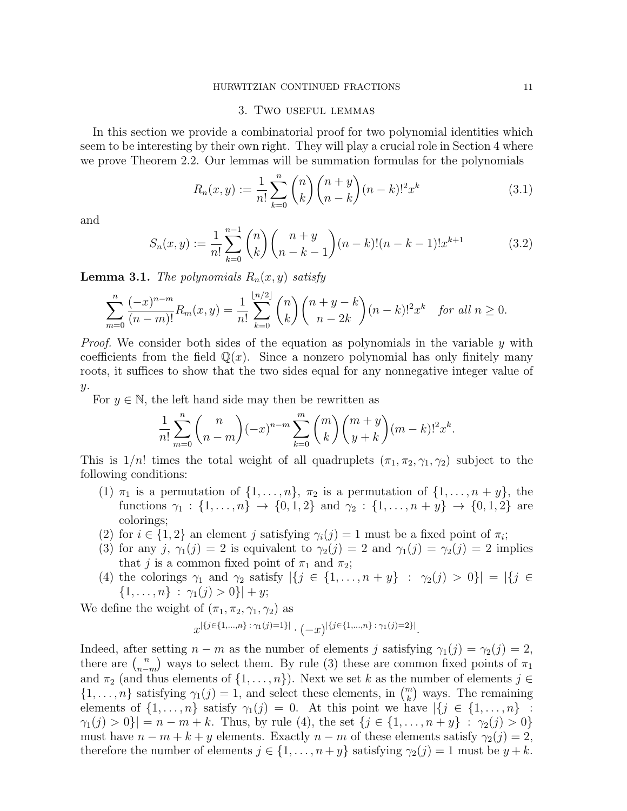#### HURWITZIAN CONTINUED FRACTIONS 11

#### 3. Two useful lemmas

In this section we provide a combinatorial proof for two polynomial identities which seem to be interesting by their own right. They will play a crucial role in Section 4 where we prove Theorem 2.2. Our lemmas will be summation formulas for the polynomials

$$
R_n(x,y) := \frac{1}{n!} \sum_{k=0}^n \binom{n}{k} \binom{n+y}{n-k} (n-k)!^2 x^k
$$
 (3.1)

and

$$
S_n(x,y) := \frac{1}{n!} \sum_{k=0}^{n-1} {n \choose k} {n+y \choose n-k-1} (n-k)! (n-k-1)! x^{k+1}
$$
 (3.2)

**Lemma 3.1.** The polynomials  $R_n(x, y)$  satisfy

$$
\sum_{m=0}^{n} \frac{(-x)^{n-m}}{(n-m)!} R_m(x,y) = \frac{1}{n!} \sum_{k=0}^{\lfloor n/2 \rfloor} \binom{n}{k} \binom{n+y-k}{n-2k} (n-k)!^2 x^k \quad \text{for all } n \ge 0.
$$

*Proof.* We consider both sides of the equation as polynomials in the variable  $y$  with coefficients from the field  $\mathbb{Q}(x)$ . Since a nonzero polynomial has only finitely many roots, it suffices to show that the two sides equal for any nonnegative integer value of  $y$ .

For  $y \in \mathbb{N}$ , the left hand side may then be rewritten as

$$
\frac{1}{n!} \sum_{m=0}^{n} {n \choose n-m} (-x)^{n-m} \sum_{k=0}^{m} {m \choose k} {m+y \choose y+k} (m-k)!^{2} x^{k}.
$$

This is  $1/n!$  times the total weight of all quadruplets  $(\pi_1, \pi_2, \gamma_1, \gamma_2)$  subject to the following conditions:

- (1)  $\pi_1$  is a permutation of  $\{1,\ldots,n\}$ ,  $\pi_2$  is a permutation of  $\{1,\ldots,n+y\}$ , the functions  $\gamma_1 : \{1, \ldots, n\} \to \{0, 1, 2\}$  and  $\gamma_2 : \{1, \ldots, n+y\} \to \{0, 1, 2\}$  are colorings;
- (2) for  $i \in \{1,2\}$  an element j satisfying  $\gamma_i(j) = 1$  must be a fixed point of  $\pi_i$ ;
- (3) for any j,  $\gamma_1(j) = 2$  is equivalent to  $\gamma_2(j) = 2$  and  $\gamma_1(j) = \gamma_2(j) = 2$  implies that j is a common fixed point of  $\pi_1$  and  $\pi_2$ ;
- (4) the colorings  $\gamma_1$  and  $\gamma_2$  satisfy  $|\{j \in \{1, ..., n+y\} : \gamma_2(j) > 0\}| = |\{j \in$  $\{1,\ldots,n\}$ :  $\gamma_1(j) > 0\}|+y;$

We define the weight of  $(\pi_1, \pi_2, \gamma_1, \gamma_2)$  as

$$
x^{|\{j\in \{1,\ldots,n\}\,:\,\gamma_1(j)=1\}|}\cdot (-x)^{|\{j\in \{1,\ldots,n\}\,:\,\gamma_1(j)=2\}|}.
$$

Indeed, after setting  $n - m$  as the number of elements j satisfying  $\gamma_1(j) = \gamma_2(j) = 2$ , there are  $\binom{n}{n}$  $\binom{n}{n-m}$  ways to select them. By rule (3) these are common fixed points of  $\pi_1$ and  $\pi_2$  (and thus elements of  $\{1, \ldots, n\}$ ). Next we set k as the number of elements  $j \in \mathbb{Z}$  $\{1, \ldots, n\}$  satisfying  $\gamma_1(j) = 1$ , and select these elements, in  $\binom{m}{k}$  ways. The remaining elements of  $\{1,\ldots,n\}$  satisfy  $\gamma_1(j)=0$ . At this point we have  $|\{j\in\{1,\ldots,n\}|$ :  $|\gamma_1(j) > 0\}| = n - m + k$ . Thus, by rule (4), the set  $\{j \in \{1, ..., n+y\} : \gamma_2(j) > 0\}$ must have  $n - m + k + y$  elements. Exactly  $n - m$  of these elements satisfy  $\gamma_2(j) = 2$ , therefore the number of elements  $j \in \{1, ..., n+y\}$  satisfying  $\gamma_2(j) = 1$  must be  $y + k$ .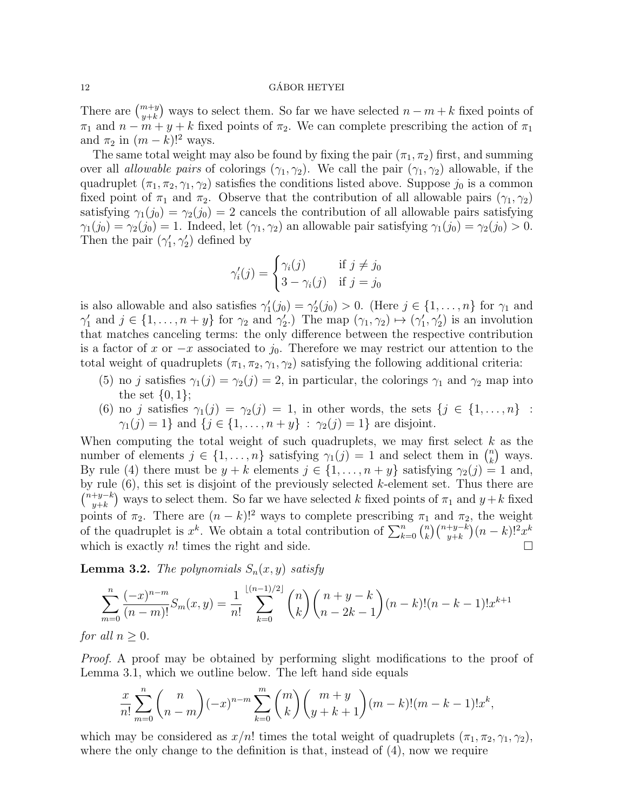There are  $\binom{m+y}{y+k}$  ways to select them. So far we have selected  $n-m+k$  fixed points of  $\pi_1$  and  $n - m + y + k$  fixed points of  $\pi_2$ . We can complete prescribing the action of  $\pi_1$ and  $\pi_2$  in  $(m-k)!^2$  ways.

The same total weight may also be found by fixing the pair  $(\pi_1, \pi_2)$  first, and summing over all *allowable pairs* of colorings  $(\gamma_1, \gamma_2)$ . We call the pair  $(\gamma_1, \gamma_2)$  allowable, if the quadruplet  $(\pi_1, \pi_2, \gamma_1, \gamma_2)$  satisfies the conditions listed above. Suppose  $j_0$  is a common fixed point of  $\pi_1$  and  $\pi_2$ . Observe that the contribution of all allowable pairs  $(\gamma_1, \gamma_2)$ satisfying  $\gamma_1(j_0) = \gamma_2(j_0) = 2$  cancels the contribution of all allowable pairs satisfying  $\gamma_1(j_0) = \gamma_2(j_0) = 1$ . Indeed, let  $(\gamma_1, \gamma_2)$  an allowable pair satisfying  $\gamma_1(j_0) = \gamma_2(j_0) > 0$ . Then the pair  $(\gamma_1', \gamma_2')$  defined by

$$
\gamma_i'(j) = \begin{cases} \gamma_i(j) & \text{if } j \neq j_0 \\ 3 - \gamma_i(j) & \text{if } j = j_0 \end{cases}
$$

is also allowable and also satisfies  $\gamma'_1(j_0) = \gamma'_2(j_0) > 0$ . (Here  $j \in \{1, ..., n\}$  for  $\gamma_1$  and  $\gamma'_1$  and  $j \in \{1, \ldots, n+y\}$  for  $\gamma_2$  and  $\gamma'_2$ .) The map  $(\gamma_1, \gamma_2) \mapsto (\gamma'_1, \gamma'_2)$  is an involution that matches canceling terms: the only difference between the respective contribution is a factor of x or  $-x$  associated to  $j_0$ . Therefore we may restrict our attention to the total weight of quadruplets  $(\pi_1, \pi_2, \gamma_1, \gamma_2)$  satisfying the following additional criteria:

- (5) no j satisfies  $\gamma_1(j) = \gamma_2(j) = 2$ , in particular, the colorings  $\gamma_1$  and  $\gamma_2$  map into the set  $\{0,1\};$
- (6) no j satisfies  $\gamma_1(j) = \gamma_2(j) = 1$ , in other words, the sets  $\{j \in \{1, ..., n\}$ :  $\gamma_1(j) = 1$  and  $\{j \in \{1, ..., n+y\} : \gamma_2(j) = 1\}$  are disjoint.

When computing the total weight of such quadruplets, we may first select  $k$  as the number of elements  $j \in \{1, \ldots, n\}$  satisfying  $\gamma_1(j) = 1$  and select them in  $\binom{n}{k}$  $\binom{n}{k}$  ways. By rule (4) there must be  $y + k$  elements  $j \in \{1, \ldots, n + y\}$  satisfying  $\gamma_2(j) = 1$  and, by rule  $(6)$ , this set is disjoint of the previously selected k-element set. Thus there are  $\binom{n+y-k}{n+k}$  $(y+k)$  ways to select them. So far we have selected k fixed points of  $\pi_1$  and  $y+k$  fixed points of  $\pi_2$ . There are  $(n - k)!^2$  ways to complete prescribing  $\pi_1$  and  $\pi_2$ , the weight of the quadruplet is  $x^k$ . We obtain a total contribution of  $\sum_{k=0}^n \binom{n}{k}$  $\binom{n}{k}\binom{n+y-k}{y+k}(n-k)!^2x^k$ which is exactly  $n!$  times the right and side.

**Lemma 3.2.** The polynomials  $S_n(x, y)$  satisfy

$$
\sum_{m=0}^{n} \frac{(-x)^{n-m}}{(n-m)!} S_m(x,y) = \frac{1}{n!} \sum_{k=0}^{\lfloor (n-1)/2 \rfloor} \binom{n}{k} \binom{n+y-k}{n-2k-1} (n-k)!(n-k-1)! x^{k+1}
$$

for all  $n \geq 0$ .

Proof. A proof may be obtained by performing slight modifications to the proof of Lemma 3.1, which we outline below. The left hand side equals

$$
\frac{x}{n!} \sum_{m=0}^{n} {n \choose n-m} (-x)^{n-m} \sum_{k=0}^{m} {m \choose k} {m+y \choose y+k+1} (m-k)! (m-k-1)! x^{k},
$$

which may be considered as  $x/n!$  times the total weight of quadruplets  $(\pi_1, \pi_2, \gamma_1, \gamma_2)$ , where the only change to the definition is that, instead of  $(4)$ , now we require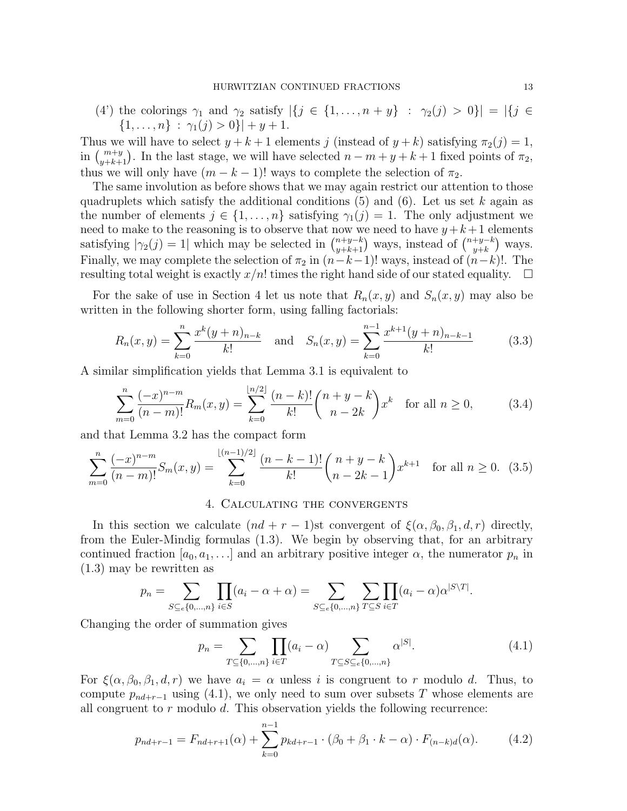(4') the colorings  $\gamma_1$  and  $\gamma_2$  satisfy  $|\{j \in \{1, ..., n+y\} : \gamma_2(j) > 0\}| = |\{j \in$  $\{1, \ldots, n\}$ :  $\gamma_1(j) > 0\}| + y + 1.$ 

Thus we will have to select  $y + k + 1$  elements j (instead of  $y + k$ ) satisfying  $\pi_2(j) = 1$ , in  $\binom{m+y}{y+k+1}$ . In the last stage, we will have selected  $n-m+y+k+1$  fixed points of  $\pi_2$ , thus we will only have  $(m - k - 1)!$  ways to complete the selection of  $\pi_2$ .

The same involution as before shows that we may again restrict our attention to those quadruplets which satisfy the additional conditions  $(5)$  and  $(6)$ . Let us set k again as the number of elements  $j \in \{1, \ldots, n\}$  satisfying  $\gamma_1(j) = 1$ . The only adjustment we need to make to the reasoning is to observe that now we need to have  $y+k+1$  elements satisfying  $|\gamma_2(j)=1|$  which may be selected in  $\binom{n+y-k}{y+k+1}$  ways, instead of  $\binom{n+y-k}{y+k}$  $_{y+k}^{+y-k}$  ways. Finally, we may complete the selection of  $\pi_2$  in  $(n-k-1)!$  ways, instead of  $(n-k)!$ . The resulting total weight is exactly  $x/n!$  times the right hand side of our stated equality.  $\Box$ 

For the sake of use in Section 4 let us note that  $R_n(x, y)$  and  $S_n(x, y)$  may also be written in the following shorter form, using falling factorials:

$$
R_n(x,y) = \sum_{k=0}^n \frac{x^k(y+n)_{n-k}}{k!} \quad \text{and} \quad S_n(x,y) = \sum_{k=0}^{n-1} \frac{x^{k+1}(y+n)_{n-k-1}}{k!} \tag{3.3}
$$

A similar simplification yields that Lemma 3.1 is equivalent to

$$
\sum_{m=0}^{n} \frac{(-x)^{n-m}}{(n-m)!} R_m(x,y) = \sum_{k=0}^{\lfloor n/2 \rfloor} \frac{(n-k)!}{k!} {n+y-k \choose n-2k} x^k \quad \text{for all } n \ge 0,
$$
 (3.4)

and that Lemma 3.2 has the compact form

$$
\sum_{m=0}^{n} \frac{(-x)^{n-m}}{(n-m)!} S_m(x,y) = \sum_{k=0}^{\lfloor (n-1)/2 \rfloor} \frac{(n-k-1)!}{k!} {n+y-k \choose n-2k-1} x^{k+1} \text{ for all } n \ge 0. \tag{3.5}
$$

# 4. Calculating the convergents

In this section we calculate  $(nd + r - 1)$ st convergent of  $\xi(\alpha, \beta_0, \beta_1, d, r)$  directly, from the Euler-Mindig formulas (1.3). We begin by observing that, for an arbitrary continued fraction  $[a_0, a_1, \ldots]$  and an arbitrary positive integer  $\alpha$ , the numerator  $p_n$  in (1.3) may be rewritten as

$$
p_n = \sum_{S \subseteq e \{0, \dots, n\}} \prod_{i \in S} (a_i - \alpha + \alpha) = \sum_{S \subseteq e \{0, \dots, n\}} \sum_{T \subseteq S} \prod_{i \in T} (a_i - \alpha) \alpha^{|S \setminus T|}.
$$

Changing the order of summation gives

$$
p_n = \sum_{T \subseteq \{0, \dots, n\}} \prod_{i \in T} (a_i - \alpha) \sum_{T \subseteq S \subseteq e \{0, \dots, n\}} \alpha^{|S|}.
$$
 (4.1)

For  $\xi(\alpha, \beta_0, \beta_1, d, r)$  we have  $a_i = \alpha$  unless i is congruent to r modulo d. Thus, to compute  $p_{nd+r-1}$  using (4.1), we only need to sum over subsets T whose elements are all congruent to  $r$  modulo  $d$ . This observation yields the following recurrence:

$$
p_{nd+r-1} = F_{nd+r+1}(\alpha) + \sum_{k=0}^{n-1} p_{kd+r-1} \cdot (\beta_0 + \beta_1 \cdot k - \alpha) \cdot F_{(n-k)d}(\alpha). \tag{4.2}
$$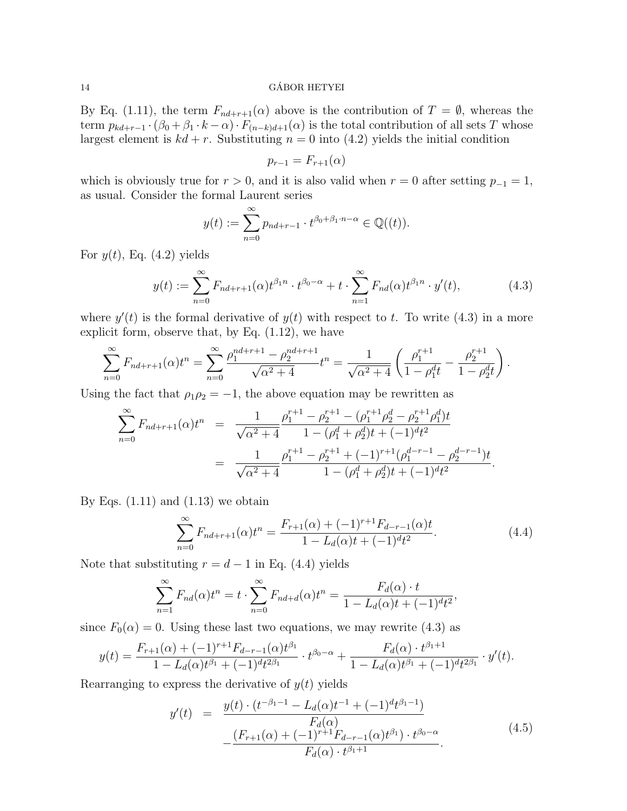By Eq. (1.11), the term  $F_{nd+r+1}(\alpha)$  above is the contribution of  $T = \emptyset$ , whereas the term  $p_{kd+r-1} \cdot (\beta_0 + \beta_1 \cdot k - \alpha) \cdot F_{(n-k)d+1}(\alpha)$  is the total contribution of all sets T whose largest element is  $kd + r$ . Substituting  $n = 0$  into (4.2) yields the initial condition

$$
p_{r-1} = F_{r+1}(\alpha)
$$

which is obviously true for  $r > 0$ , and it is also valid when  $r = 0$  after setting  $p_{-1} = 1$ , as usual. Consider the formal Laurent series

$$
y(t) := \sum_{n=0}^{\infty} p_{nd+r-1} \cdot t^{\beta_0 + \beta_1 \cdot n - \alpha} \in \mathbb{Q}((t)).
$$

For  $y(t)$ , Eq. (4.2) yields

$$
y(t) := \sum_{n=0}^{\infty} F_{nd+r+1}(\alpha) t^{\beta_1 n} \cdot t^{\beta_0 - \alpha} + t \cdot \sum_{n=1}^{\infty} F_{nd}(\alpha) t^{\beta_1 n} \cdot y'(t), \tag{4.3}
$$

where  $y'(t)$  is the formal derivative of  $y(t)$  with respect to t. To write (4.3) in a more explicit form, observe that, by Eq.  $(1.12)$ , we have

$$
\sum_{n=0}^{\infty} F_{nd+r+1}(\alpha) t^n = \sum_{n=0}^{\infty} \frac{\rho_1^{nd+r+1} - \rho_2^{nd+r+1}}{\sqrt{\alpha^2 + 4}} t^n = \frac{1}{\sqrt{\alpha^2 + 4}} \left( \frac{\rho_1^{r+1}}{1 - \rho_1^d t} - \frac{\rho_2^{r+1}}{1 - \rho_2^d t} \right).
$$

Using the fact that  $\rho_1 \rho_2 = -1$ , the above equation may be rewritten as

$$
\sum_{n=0}^{\infty} F_{nd+r+1}(\alpha) t^n = \frac{1}{\sqrt{\alpha^2 + 4}} \frac{\rho_1^{r+1} - \rho_2^{r+1} - (\rho_1^{r+1} \rho_2^d - \rho_2^{r+1} \rho_1^d) t}{1 - (\rho_1^d + \rho_2^d) t + (-1)^d t^2}
$$

$$
= \frac{1}{\sqrt{\alpha^2 + 4}} \frac{\rho_1^{r+1} - \rho_2^{r+1} + (-1)^{r+1} (\rho_1^{d-r-1} - \rho_2^{d-r-1}) t}{1 - (\rho_1^d + \rho_2^d) t + (-1)^d t^2}.
$$

By Eqs.  $(1.11)$  and  $(1.13)$  we obtain

$$
\sum_{n=0}^{\infty} F_{nd+r+1}(\alpha) t^n = \frac{F_{r+1}(\alpha) + (-1)^{r+1} F_{d-r-1}(\alpha) t}{1 - L_d(\alpha) t + (-1)^d t^2}.
$$
\n(4.4)

Note that substituting  $r = d - 1$  in Eq. (4.4) yields

$$
\sum_{n=1}^{\infty} F_{nd}(\alpha)t^n = t \cdot \sum_{n=0}^{\infty} F_{nd+d}(\alpha)t^n = \frac{F_d(\alpha) \cdot t}{1 - L_d(\alpha)t + (-1)^d t^2},
$$

since  $F_0(\alpha) = 0$ . Using these last two equations, we may rewrite (4.3) as

$$
y(t) = \frac{F_{r+1}(\alpha) + (-1)^{r+1} F_{d-r-1}(\alpha) t^{\beta_1}}{1 - L_d(\alpha) t^{\beta_1} + (-1)^d t^{2\beta_1}} \cdot t^{\beta_0 - \alpha} + \frac{F_d(\alpha) \cdot t^{\beta_1 + 1}}{1 - L_d(\alpha) t^{\beta_1} + (-1)^d t^{2\beta_1}} \cdot y'(t).
$$

Rearranging to express the derivative of  $y(t)$  yields

$$
y'(t) = \frac{y(t) \cdot (t^{-\beta_1 - 1} - L_d(\alpha)t^{-1} + (-1)^d t^{\beta_1 - 1})}{F_d(\alpha)}
$$
  
 
$$
- \frac{(F_{r+1}(\alpha) + (-1)^{r+1} F_{d-r-1}(\alpha)t^{\beta_1}) \cdot t^{\beta_0 - \alpha}}{F_d(\alpha) \cdot t^{\beta_1 + 1}}.
$$
 (4.5)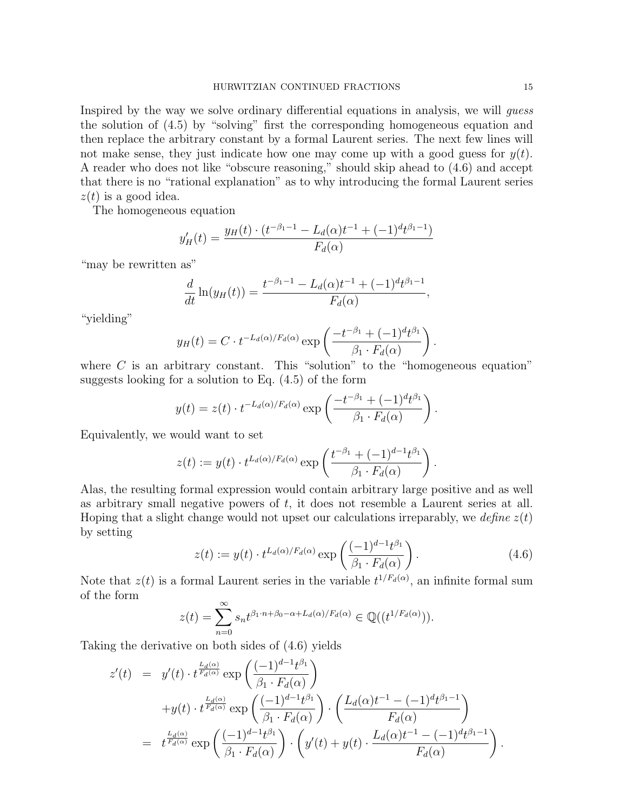Inspired by the way we solve ordinary differential equations in analysis, we will guess the solution of (4.5) by "solving" first the corresponding homogeneous equation and then replace the arbitrary constant by a formal Laurent series. The next few lines will not make sense, they just indicate how one may come up with a good guess for  $y(t)$ . A reader who does not like "obscure reasoning," should skip ahead to (4.6) and accept that there is no "rational explanation" as to why introducing the formal Laurent series  $z(t)$  is a good idea.

The homogeneous equation

$$
y'_{H}(t) = \frac{y_{H}(t) \cdot (t^{-\beta_1 - 1} - L_d(\alpha)t^{-1} + (-1)^d t^{\beta_1 - 1})}{F_d(\alpha)}
$$

"may be rewritten as"

$$
\frac{d}{dt}\ln(y_H(t)) = \frac{t^{-\beta_1 - 1} - L_d(\alpha)t^{-1} + (-1)^dt^{\beta_1 - 1}}{F_d(\alpha)},
$$

"yielding"

$$
y_H(t) = C \cdot t^{-L_d(\alpha)/F_d(\alpha)} \exp\left(\frac{-t^{-\beta_1} + (-1)^d t^{\beta_1}}{\beta_1 \cdot F_d(\alpha)}\right)
$$

where  $C$  is an arbitrary constant. This "solution" to the "homogeneous equation" suggests looking for a solution to Eq. (4.5) of the form

$$
y(t) = z(t) \cdot t^{-L_d(\alpha)/F_d(\alpha)} \exp\left(\frac{-t^{-\beta_1} + (-1)^d t^{\beta_1}}{\beta_1 \cdot F_d(\alpha)}\right).
$$

Equivalently, we would want to set

$$
z(t) := y(t) \cdot t^{L_d(\alpha)/F_d(\alpha)} \exp\left(\frac{t^{-\beta_1} + (-1)^{d-1} t^{\beta_1}}{\beta_1 \cdot F_d(\alpha)}\right).
$$

Alas, the resulting formal expression would contain arbitrary large positive and as well as arbitrary small negative powers of  $t$ , it does not resemble a Laurent series at all. Hoping that a slight change would not upset our calculations irreparably, we define  $z(t)$ by setting

$$
z(t) := y(t) \cdot t^{L_d(\alpha)/F_d(\alpha)} \exp\left(\frac{(-1)^{d-1}t^{\beta_1}}{\beta_1 \cdot F_d(\alpha)}\right). \tag{4.6}
$$

.

Note that  $z(t)$  is a formal Laurent series in the variable  $t^{1/F_d(\alpha)}$ , an infinite formal sum of the form

$$
z(t) = \sum_{n=0}^{\infty} s_n t^{\beta_1 \cdot n + \beta_0 - \alpha + L_d(\alpha)/F_d(\alpha)} \in \mathbb{Q}((t^{1/F_d(\alpha)})).
$$

Taking the derivative on both sides of (4.6) yields

$$
z'(t) = y'(t) \cdot t^{\frac{L_d(\alpha)}{F_d(\alpha)}} \exp\left(\frac{(-1)^{d-1}t^{\beta_1}}{\beta_1 \cdot F_d(\alpha)}\right)
$$
  
+
$$
y(t) \cdot t^{\frac{L_d(\alpha)}{F_d(\alpha)}} \exp\left(\frac{(-1)^{d-1}t^{\beta_1}}{\beta_1 \cdot F_d(\alpha)}\right) \cdot \left(\frac{L_d(\alpha)t^{-1} - (-1)^dt^{\beta_1-1}}{F_d(\alpha)}\right)
$$
  
= 
$$
t^{\frac{L_d(\alpha)}{F_d(\alpha)}} \exp\left(\frac{(-1)^{d-1}t^{\beta_1}}{\beta_1 \cdot F_d(\alpha)}\right) \cdot \left(y'(t) + y(t) \cdot \frac{L_d(\alpha)t^{-1} - (-1)^dt^{\beta_1-1}}{F_d(\alpha)}\right).
$$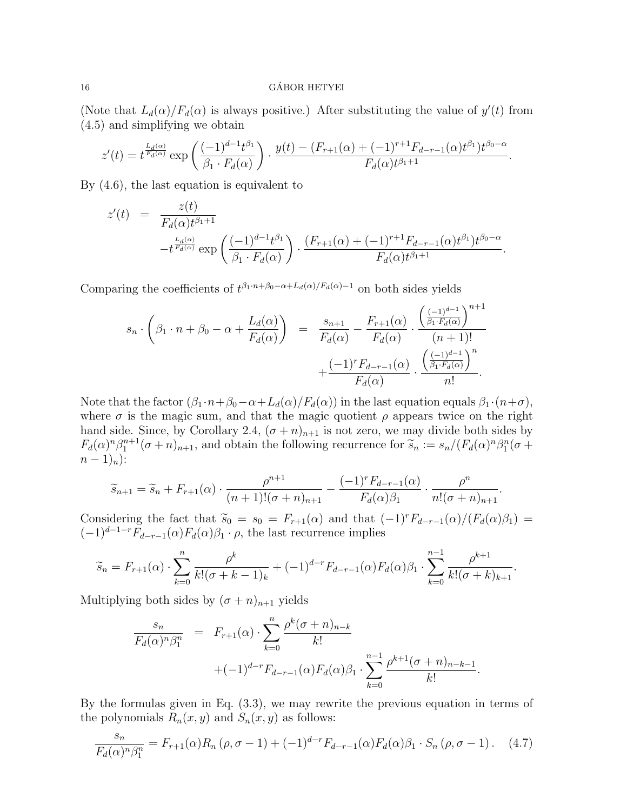(Note that  $L_d(\alpha)/F_d(\alpha)$  is always positive.) After substituting the value of  $y'(t)$  from (4.5) and simplifying we obtain

$$
z'(t) = t^{\frac{L_d(\alpha)}{F_d(\alpha)}} \exp\left(\frac{(-1)^{d-1}t^{\beta_1}}{\beta_1 \cdot F_d(\alpha)}\right) \cdot \frac{y(t) - (F_{r+1}(\alpha) + (-1)^{r+1}F_{d-r-1}(\alpha)t^{\beta_1})t^{\beta_0 - \alpha}}{F_d(\alpha)t^{\beta_1 + 1}}.
$$

By (4.6), the last equation is equivalent to

$$
z'(t) = \frac{z(t)}{F_d(\alpha)t^{\beta_1+1}} - t^{\frac{L_d(\alpha)}{F_d(\alpha)}} \exp\left(\frac{(-1)^{d-1}t^{\beta_1}}{\beta_1 \cdot F_d(\alpha)}\right) \cdot \frac{(F_{r+1}(\alpha) + (-1)^{r+1}F_{d-r-1}(\alpha)t^{\beta_1})t^{\beta_0-\alpha}}{F_d(\alpha)t^{\beta_1+1}}.
$$

Comparing the coefficients of  $t^{\beta_1 \cdot n + \beta_0 - \alpha + L_d(\alpha)/F_d(\alpha)-1}$  on both sides yields

$$
s_n \cdot \left(\beta_1 \cdot n + \beta_0 - \alpha + \frac{L_d(\alpha)}{F_d(\alpha)}\right) = \frac{s_{n+1}}{F_d(\alpha)} - \frac{F_{r+1}(\alpha)}{F_d(\alpha)} \cdot \frac{\left(\frac{(-1)^{d-1}}{\beta_1 \cdot F_d(\alpha)}\right)^{n+1}}{(n+1)!} + \frac{(-1)^r F_{d-r-1}(\alpha)}{F_d(\alpha)} \cdot \frac{\left(\frac{(-1)^{d-1}}{\beta_1 \cdot F_d(\alpha)}\right)^n}{n!}.
$$

Note that the factor  $(\beta_1 \cdot n + \beta_0 - \alpha + L_d(\alpha)/F_d(\alpha))$  in the last equation equals  $\beta_1 \cdot (n+\sigma)$ , where  $\sigma$  is the magic sum, and that the magic quotient  $\rho$  appears twice on the right hand side. Since, by Corollary 2.4,  $(\sigma + n)_{n+1}$  is not zero, we may divide both sides by  $F_d(\alpha)^n \beta_1^{n+1} (\sigma + n)_{n+1}$ , and obtain the following recurrence for  $\tilde{s}_n := s_n/(F_d(\alpha)^n \beta_1^n (\sigma + n)_{n+1})$  $(n-1)<sub>n</sub>$ ):

$$
\widetilde{s}_{n+1} = \widetilde{s}_n + F_{r+1}(\alpha) \cdot \frac{\rho^{n+1}}{(n+1)!(\sigma+n)_{n+1}} - \frac{(-1)^r F_{d-r-1}(\alpha)}{F_d(\alpha)\beta_1} \cdot \frac{\rho^n}{n!(\sigma+n)_{n+1}}.
$$

Considering the fact that  $\tilde{s}_0 = s_0 = F_{r+1}(\alpha)$  and that  $(-1)^r F_{d-r-1}(\alpha)/(F_d(\alpha)\beta_1) =$  $(-1)^{d-1-r}F_{d-r-1}(\alpha)F_d(\alpha)\beta_1 \cdot \rho$ , the last recurrence implies

$$
\widetilde{s}_n = F_{r+1}(\alpha) \cdot \sum_{k=0}^n \frac{\rho^k}{k! (\sigma + k - 1)_k} + (-1)^{d-r} F_{d-r-1}(\alpha) F_d(\alpha) \beta_1 \cdot \sum_{k=0}^{n-1} \frac{\rho^{k+1}}{k! (\sigma + k)_{k+1}}.
$$

Multiplying both sides by  $(\sigma + n)_{n+1}$  yields

$$
\frac{s_n}{F_d(\alpha)^n \beta_1^n} = F_{r+1}(\alpha) \cdot \sum_{k=0}^n \frac{\rho^k (\sigma + n)_{n-k}}{k!} + (-1)^{d-r} F_{d-r-1}(\alpha) F_d(\alpha) \beta_1 \cdot \sum_{k=0}^{n-1} \frac{\rho^{k+1} (\sigma + n)_{n-k-1}}{k!}.
$$

By the formulas given in Eq. (3.3), we may rewrite the previous equation in terms of the polynomials  $R_n(x, y)$  and  $S_n(x, y)$  as follows:

$$
\frac{s_n}{F_d(\alpha)^n \beta_1^n} = F_{r+1}(\alpha) R_n (\rho, \sigma - 1) + (-1)^{d-r} F_{d-r-1}(\alpha) F_d(\alpha) \beta_1 \cdot S_n (\rho, \sigma - 1).
$$
 (4.7)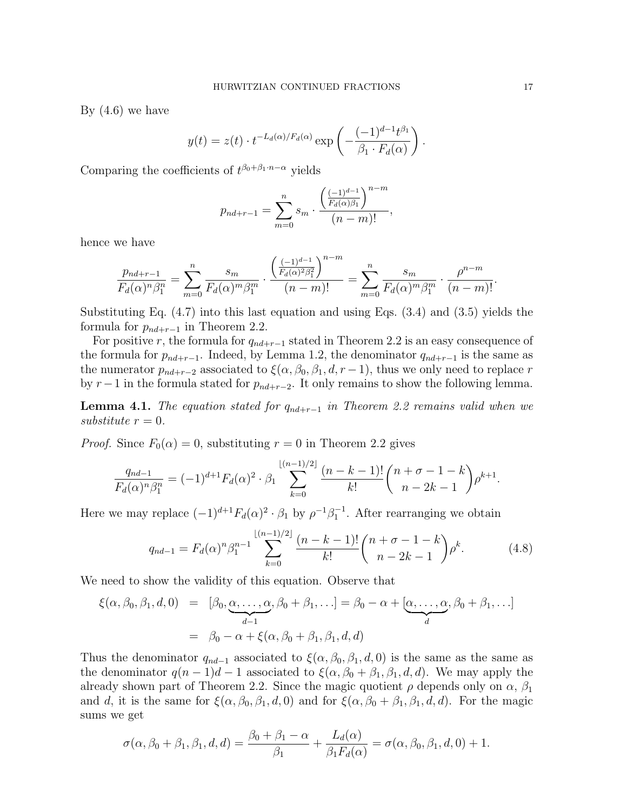By (4.6) we have

$$
y(t) = z(t) \cdot t^{-L_d(\alpha)/F_d(\alpha)} \exp\left(-\frac{(-1)^{d-1}t^{\beta_1}}{\beta_1 \cdot F_d(\alpha)}\right).
$$

Comparing the coefficients of  $t^{\beta_0+\beta_1\cdot n-\alpha}$  yields

$$
p_{nd+r-1} = \sum_{m=0}^{n} s_m \cdot \frac{\left(\frac{(-1)^{d-1}}{F_d(\alpha)\beta_1}\right)^{n-m}}{(n-m)!},
$$

hence we have

$$
\frac{p_{nd+r-1}}{F_d(\alpha)^n \beta_1^n} = \sum_{m=0}^n \frac{s_m}{F_d(\alpha)^m \beta_1^m} \cdot \frac{\left(\frac{(-1)^{d-1}}{F_d(\alpha)^2 \beta_1^2}\right)^{n-m}}{(n-m)!} = \sum_{m=0}^n \frac{s_m}{F_d(\alpha)^m \beta_1^m} \cdot \frac{\rho^{n-m}}{(n-m)!}.
$$

Substituting Eq. (4.7) into this last equation and using Eqs. (3.4) and (3.5) yields the formula for  $p_{nd+r-1}$  in Theorem 2.2.

For positive r, the formula for  $q_{nd+r-1}$  stated in Theorem 2.2 is an easy consequence of the formula for  $p_{nd+r-1}$ . Indeed, by Lemma 1.2, the denominator  $q_{nd+r-1}$  is the same as the numerator  $p_{nd+r-2}$  associated to  $\xi(\alpha, \beta_0, \beta_1, d, r-1)$ , thus we only need to replace r by  $r-1$  in the formula stated for  $p_{nd+r-2}$ . It only remains to show the following lemma.

**Lemma 4.1.** The equation stated for  $q_{nd+r-1}$  in Theorem 2.2 remains valid when we substitute  $r = 0$ .

*Proof.* Since  $F_0(\alpha) = 0$ , substituting  $r = 0$  in Theorem 2.2 gives

$$
\frac{q_{nd-1}}{F_d(\alpha)^n \beta_1^n} = (-1)^{d+1} F_d(\alpha)^2 \cdot \beta_1 \sum_{k=0}^{\lfloor (n-1)/2 \rfloor} \frac{(n-k-1)!}{k!} {n+\sigma-1-k \choose n-2k-1} \rho^{k+1}.
$$

Here we may replace  $(-1)^{d+1}F_d(\alpha)^2 \cdot \beta_1$  by  $\rho^{-1}\beta_1^{-1}$ . After rearranging we obtain

$$
q_{nd-1} = F_d(\alpha)^n \beta_1^{n-1} \sum_{k=0}^{\lfloor (n-1)/2 \rfloor} \frac{(n-k-1)!}{k!} {n+\sigma-1-k \choose n-2k-1} \rho^k.
$$
 (4.8)

We need to show the validity of this equation. Observe that

$$
\xi(\alpha, \beta_0, \beta_1, d, 0) = [\beta_0, \underbrace{\alpha, \dots, \alpha}_{d-1}, \beta_0 + \beta_1, \dots] = \beta_0 - \alpha + [\underbrace{\alpha, \dots, \alpha}_{d}, \beta_0 + \beta_1, \dots]
$$

$$
= \beta_0 - \alpha + \xi(\alpha, \beta_0 + \beta_1, \beta_1, d, d)
$$

Thus the denominator  $q_{nd-1}$  associated to  $\xi(\alpha, \beta_0, \beta_1, d, 0)$  is the same as the same as the denominator  $q(n-1)d-1$  associated to  $\xi(\alpha,\beta_0+\beta_1,\beta_1,d,d)$ . We may apply the already shown part of Theorem 2.2. Since the magic quotient  $\rho$  depends only on  $\alpha$ ,  $\beta_1$ and d, it is the same for  $\xi(\alpha, \beta_0, \beta_1, d, 0)$  and for  $\xi(\alpha, \beta_0 + \beta_1, \beta_1, d, d)$ . For the magic sums we get

$$
\sigma(\alpha,\beta_0+\beta_1,\beta_1,d,d) = \frac{\beta_0+\beta_1-\alpha}{\beta_1} + \frac{L_d(\alpha)}{\beta_1 F_d(\alpha)} = \sigma(\alpha,\beta_0,\beta_1,d,0) + 1.
$$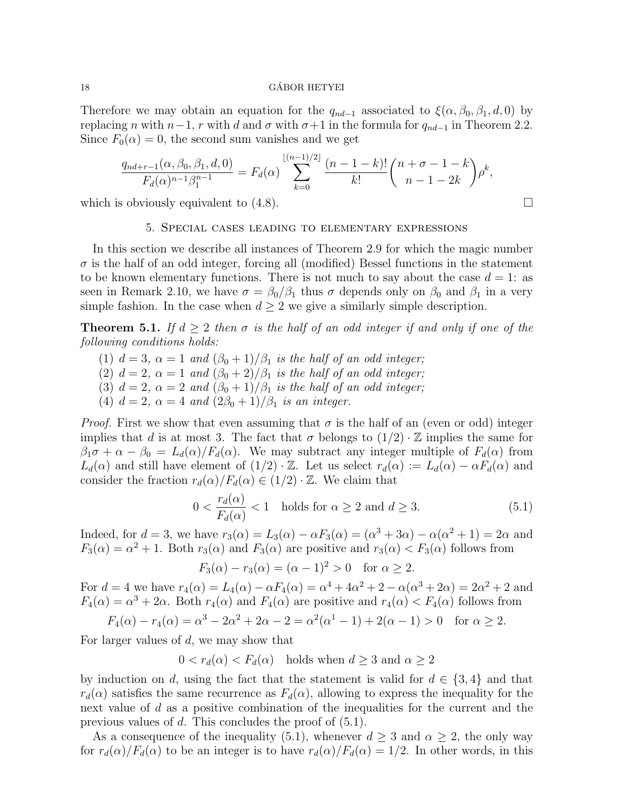Therefore we may obtain an equation for the  $q_{nd-1}$  associated to  $\xi(\alpha, \beta_0, \beta_1, d, 0)$  by replacing n with  $n-1$ , r with d and  $\sigma$  with  $\sigma+1$  in the formula for  $q_{nd-1}$  in Theorem 2.2. Since  $F_0(\alpha) = 0$ , the second sum vanishes and we get

$$
\frac{q_{nd+r-1}(\alpha,\beta_0,\beta_1,d,0)}{F_d(\alpha)^{n-1}\beta_1^{n-1}} = F_d(\alpha) \sum_{k=0}^{\lfloor (n-1)/2 \rfloor} \frac{(n-1-k)!}{k!} {n+\sigma-1-k \choose n-1-2k} \rho^k,
$$

which is obviously equivalent to  $(4.8)$ .

### 5. Special cases leading to elementary expressions

In this section we describe all instances of Theorem 2.9 for which the magic number  $\sigma$  is the half of an odd integer, forcing all (modified) Bessel functions in the statement to be known elementary functions. There is not much to say about the case  $d = 1$ : as seen in Remark 2.10, we have  $\sigma = \beta_0/\beta_1$  thus  $\sigma$  depends only on  $\beta_0$  and  $\beta_1$  in a very simple fashion. In the case when  $d \geq 2$  we give a similarly simple description.

**Theorem 5.1.** If  $d \geq 2$  then  $\sigma$  is the half of an odd integer if and only if one of the following conditions holds:

- (1)  $d = 3$ ,  $\alpha = 1$  and  $(\beta_0 + 1)/\beta_1$  is the half of an odd integer;
- (2)  $d = 2$ ,  $\alpha = 1$  and  $(\beta_0 + 2)/\beta_1$  is the half of an odd integer;
- (3)  $d = 2$ ,  $\alpha = 2$  and  $(\beta_0 + 1)/\beta_1$  is the half of an odd integer;
- (4)  $d = 2$ ,  $\alpha = 4$  and  $\left(\frac{2\beta_0 + 1}{\beta_1}\right)$  is an integer.

*Proof.* First we show that even assuming that  $\sigma$  is the half of an (even or odd) integer implies that d is at most 3. The fact that  $\sigma$  belongs to  $(1/2) \cdot \mathbb{Z}$  implies the same for  $\beta_1\sigma + \alpha - \beta_0 = L_d(\alpha)/F_d(\alpha)$ . We may subtract any integer multiple of  $F_d(\alpha)$  from  $L_d(\alpha)$  and still have element of  $(1/2) \cdot \mathbb{Z}$ . Let us select  $r_d(\alpha) := L_d(\alpha) - \alpha F_d(\alpha)$  and consider the fraction  $r_d(\alpha)/F_d(\alpha) \in (1/2) \cdot \mathbb{Z}$ . We claim that

$$
0 < \frac{r_d(\alpha)}{F_d(\alpha)} < 1 \quad \text{holds for } \alpha \ge 2 \text{ and } d \ge 3. \tag{5.1}
$$

Indeed, for  $d = 3$ , we have  $r_3(\alpha) = L_3(\alpha) - \alpha F_3(\alpha) = (\alpha^3 + 3\alpha) - \alpha(\alpha^2 + 1) = 2\alpha$  and  $F_3(\alpha) = \alpha^2 + 1$ . Both  $r_3(\alpha)$  and  $F_3(\alpha)$  are positive and  $r_3(\alpha) < F_3(\alpha)$  follows from

$$
F_3(\alpha) - r_3(\alpha) = (\alpha - 1)^2 > 0
$$
 for  $\alpha \ge 2$ .

For  $d = 4$  we have  $r_4(\alpha) = L_4(\alpha) - \alpha F_4(\alpha) = \alpha^4 + 4\alpha^2 + 2 - \alpha(\alpha^3 + 2\alpha) = 2\alpha^2 + 2$  and  $F_4(\alpha) = \alpha^3 + 2\alpha$ . Both  $r_4(\alpha)$  and  $F_4(\alpha)$  are positive and  $r_4(\alpha) < F_4(\alpha)$  follows from

$$
F_4(\alpha) - r_4(\alpha) = \alpha^3 - 2\alpha^2 + 2\alpha - 2 = \alpha^2(\alpha^1 - 1) + 2(\alpha - 1) > 0 \quad \text{for } \alpha \ge 2.
$$

For larger values of  $d$ , we may show that

 $0 < r_d(\alpha) < F_d(\alpha)$  holds when  $d \geq 3$  and  $\alpha \geq 2$ 

by induction on d, using the fact that the statement is valid for  $d \in \{3, 4\}$  and that  $r_d(\alpha)$  satisfies the same recurrence as  $F_d(\alpha)$ , allowing to express the inequality for the next value of d as a positive combination of the inequalities for the current and the previous values of d. This concludes the proof of (5.1).

As a consequence of the inequality (5.1), whenever  $d \geq 3$  and  $\alpha \geq 2$ , the only way for  $r_d(\alpha)/F_d(\alpha)$  to be an integer is to have  $r_d(\alpha)/F_d(\alpha) = 1/2$ . In other words, in this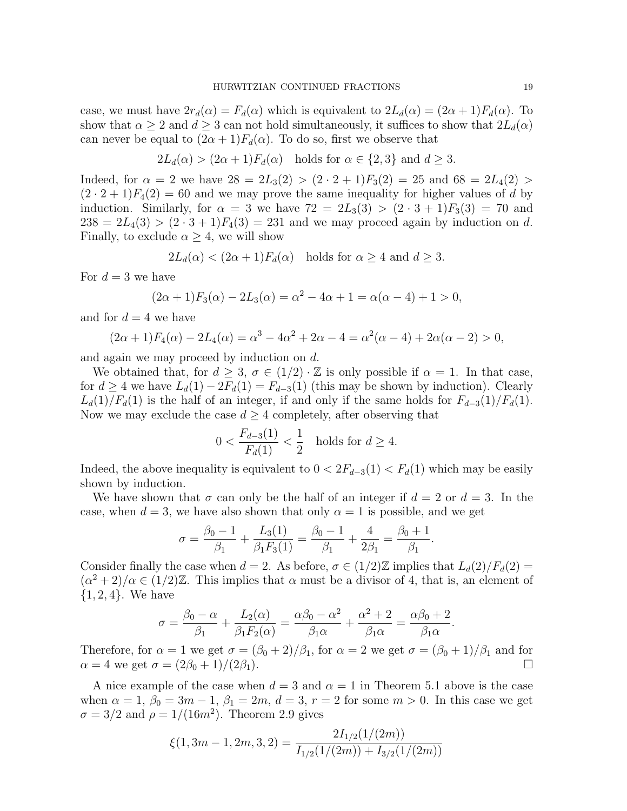case, we must have  $2r_d(\alpha) = F_d(\alpha)$  which is equivalent to  $2L_d(\alpha) = (2\alpha + 1)F_d(\alpha)$ . To show that  $\alpha \geq 2$  and  $d \geq 3$  can not hold simultaneously, it suffices to show that  $2L_d(\alpha)$ can never be equal to  $(2\alpha + 1)F_d(\alpha)$ . To do so, first we observe that

$$
2L_d(\alpha) > (2\alpha + 1)F_d(\alpha)
$$
 holds for  $\alpha \in \{2, 3\}$  and  $d \ge 3$ .

Indeed, for  $\alpha = 2$  we have  $28 = 2L_3(2) > (2 \cdot 2 + 1)F_3(2) = 25$  and  $68 = 2L_4(2) >$  $(2 \cdot 2 + 1)F_4(2) = 60$  and we may prove the same inequality for higher values of d by induction. Similarly, for  $\alpha = 3$  we have  $72 = 2L_3(3) > (2 \cdot 3 + 1)F_3(3) = 70$  and  $238 = 2L_4(3) > (2 \cdot 3 + 1)F_4(3) = 231$  and we may proceed again by induction on d. Finally, to exclude  $\alpha \geq 4$ , we will show

$$
2L_d(\alpha) < (2\alpha + 1)F_d(\alpha)
$$
 holds for  $\alpha \ge 4$  and  $d \ge 3$ .

For  $d=3$  we have

$$
(2\alpha + 1)F_3(\alpha) - 2L_3(\alpha) = \alpha^2 - 4\alpha + 1 = \alpha(\alpha - 4) + 1 > 0,
$$

and for  $d = 4$  we have

$$
(2\alpha + 1)F_4(\alpha) - 2L_4(\alpha) = \alpha^3 - 4\alpha^2 + 2\alpha - 4 = \alpha^2(\alpha - 4) + 2\alpha(\alpha - 2) > 0,
$$

and again we may proceed by induction on d.

We obtained that, for  $d > 3$ ,  $\sigma \in (1/2) \cdot \mathbb{Z}$  is only possible if  $\alpha = 1$ . In that case, for  $d \geq 4$  we have  $L_d(1) - 2F_d(1) = F_{d-3}(1)$  (this may be shown by induction). Clearly  $L_d(1)/F_d(1)$  is the half of an integer, if and only if the same holds for  $F_{d-3}(1)/F_d(1)$ . Now we may exclude the case  $d \geq 4$  completely, after observing that

$$
0 < \frac{F_{d-3}(1)}{F_d(1)} < \frac{1}{2} \quad \text{holds for } d \ge 4.
$$

Indeed, the above inequality is equivalent to  $0 < 2F_{d-3}(1) < F_d(1)$  which may be easily shown by induction.

We have shown that  $\sigma$  can only be the half of an integer if  $d = 2$  or  $d = 3$ . In the case, when  $d = 3$ , we have also shown that only  $\alpha = 1$  is possible, and we get

$$
\sigma = \frac{\beta_0 - 1}{\beta_1} + \frac{L_3(1)}{\beta_1 F_3(1)} = \frac{\beta_0 - 1}{\beta_1} + \frac{4}{2\beta_1} = \frac{\beta_0 + 1}{\beta_1}.
$$

Consider finally the case when  $d = 2$ . As before,  $\sigma \in (1/2)\mathbb{Z}$  implies that  $L_d(2)/F_d(2) =$  $(\alpha^2 + 2)/\alpha \in (1/2)\mathbb{Z}$ . This implies that  $\alpha$  must be a divisor of 4, that is, an element of  ${1, 2, 4}$ . We have

$$
\sigma = \frac{\beta_0 - \alpha}{\beta_1} + \frac{L_2(\alpha)}{\beta_1 F_2(\alpha)} = \frac{\alpha \beta_0 - \alpha^2}{\beta_1 \alpha} + \frac{\alpha^2 + 2}{\beta_1 \alpha} = \frac{\alpha \beta_0 + 2}{\beta_1 \alpha}.
$$

Therefore, for  $\alpha = 1$  we get  $\sigma = (\beta_0 + 2)/\beta_1$ , for  $\alpha = 2$  we get  $\sigma = (\beta_0 + 1)/\beta_1$  and for  $\alpha = 4$  we get  $\sigma = (2\beta_0 + 1)/(2\beta_1)$ .

A nice example of the case when  $d = 3$  and  $\alpha = 1$  in Theorem 5.1 above is the case when  $\alpha = 1, \beta_0 = 3m - 1, \beta_1 = 2m, d = 3, r = 2$  for some  $m > 0$ . In this case we get  $\sigma = 3/2$  and  $\rho = 1/(16m^2)$ . Theorem 2.9 gives

$$
\xi(1,3m-1,2m,3,2) = \frac{2I_{1/2}(1/(2m))}{I_{1/2}(1/(2m)) + I_{3/2}(1/(2m))}
$$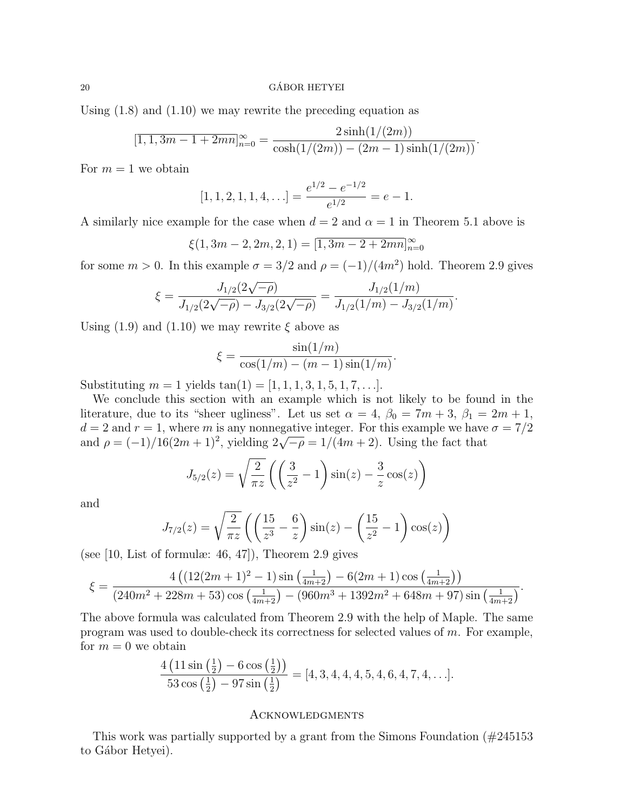## $\alpha$  GÁBOR HETYEI

Using (1.8) and (1.10) we may rewrite the preceding equation as

$$
[\overline{1, 1, 3m - 1 + 2mn}]_{n=0}^{\infty} = \frac{2\sinh(1/(2m))}{\cosh(1/(2m)) - (2m - 1)\sinh(1/(2m))}.
$$

For  $m = 1$  we obtain

$$
[1, 1, 2, 1, 1, 4, \ldots] = \frac{e^{1/2} - e^{-1/2}}{e^{1/2}} = e - 1.
$$

A similarly nice example for the case when  $d = 2$  and  $\alpha = 1$  in Theorem 5.1 above is

$$
\xi(1,3m-2,2m,2,1) = [\overline{1,3m-2+2mn}]_{n=0}^{\infty}
$$

for some  $m > 0$ . In this example  $\sigma = 3/2$  and  $\rho = (-1)/(4m^2)$  hold. Theorem 2.9 gives

$$
\xi = \frac{J_{1/2}(2\sqrt{-\rho})}{J_{1/2}(2\sqrt{-\rho}) - J_{3/2}(2\sqrt{-\rho})} = \frac{J_{1/2}(1/m)}{J_{1/2}(1/m) - J_{3/2}(1/m)}.
$$

Using (1.9) and (1.10) we may rewrite  $\xi$  above as

$$
\xi = \frac{\sin(1/m)}{\cos(1/m) - (m-1)\sin(1/m)}.
$$

Substituting  $m = 1$  yields  $tan(1) = [1, 1, 1, 3, 1, 5, 1, 7, \ldots].$ 

We conclude this section with an example which is not likely to be found in the literature, due to its "sheer ugliness". Let us set  $\alpha = 4$ ,  $\beta_0 = 7m + 3$ ,  $\beta_1 = 2m + 1$ ,  $d = 2$  and  $r = 1$ , where m is any nonnegative integer. For this example we have  $\sigma = 7/2$  $a = 2$  and  $r = 1$ , where *m* is any nonnegative integer. For this example we have<br>and  $\rho = (-1)/16(2m+1)^2$ , yielding  $2\sqrt{-\rho} = 1/(4m+2)$ . Using the fact that

$$
J_{5/2}(z) = \sqrt{\frac{2}{\pi z}} \left( \left( \frac{3}{z^2} - 1 \right) \sin(z) - \frac{3}{z} \cos(z) \right)
$$

and

$$
J_{7/2}(z) = \sqrt{\frac{2}{\pi z}} \left( \left( \frac{15}{z^3} - \frac{6}{z} \right) \sin(z) - \left( \frac{15}{z^2} - 1 \right) \cos(z) \right)
$$

(see  $[10,$  List of formulæ: 46, 47), Theorem 2.9 gives

$$
\xi = \frac{4\left(\left(12(2m+1)^2 - 1\right)\sin\left(\frac{1}{4m+2}\right) - 6(2m+1)\cos\left(\frac{1}{4m+2}\right)\right)}{(240m^2 + 228m + 53)\cos\left(\frac{1}{4m+2}\right) - (960m^3 + 1392m^2 + 648m + 97)\sin\left(\frac{1}{4m+2}\right)}.
$$

The above formula was calculated from Theorem 2.9 with the help of Maple. The same program was used to double-check its correctness for selected values of  $m$ . For example, for  $m = 0$  we obtain

$$
\frac{4\left(11\sin\left(\frac{1}{2}\right)-6\cos\left(\frac{1}{2}\right)\right)}{53\cos\left(\frac{1}{2}\right)-97\sin\left(\frac{1}{2}\right)} = [4, 3, 4, 4, 4, 5, 4, 6, 4, 7, 4, \ldots].
$$

## **ACKNOWLEDGMENTS**

This work was partially supported by a grant from the Simons Foundation (#245153 to Gábor Hetyei).